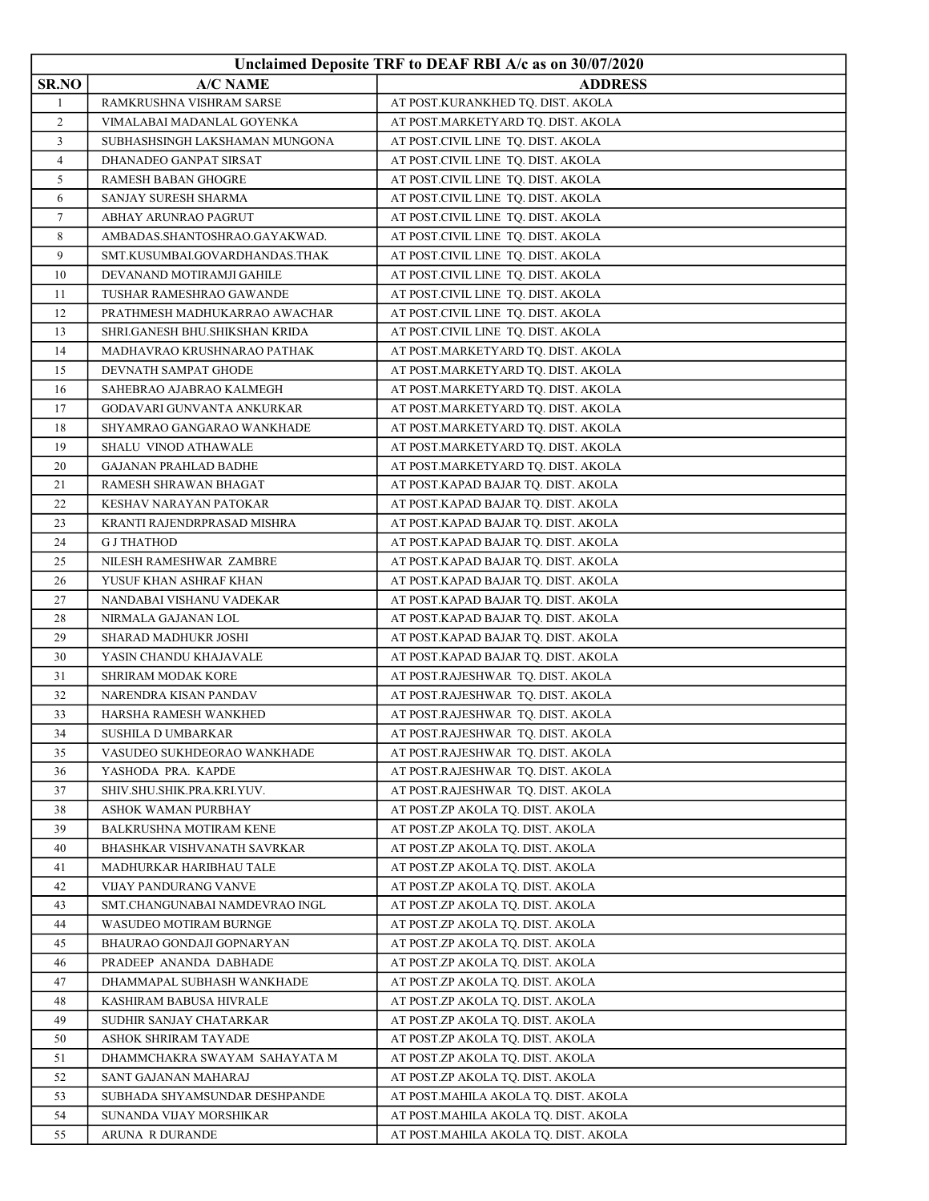|                |                                                       | Unclaimed Deposite TRF to DEAF RBI A/c as on 30/07/2020                  |
|----------------|-------------------------------------------------------|--------------------------------------------------------------------------|
| SR.NO          | <b>A/C NAME</b>                                       | <b>ADDRESS</b>                                                           |
| $\mathbf{1}$   | RAMKRUSHNA VISHRAM SARSE                              | AT POST.KURANKHED TQ. DIST. AKOLA                                        |
| 2              | VIMALABAI MADANLAL GOYENKA                            | AT POST.MARKETYARD TQ. DIST. AKOLA                                       |
| 3              | SUBHASHSINGH LAKSHAMAN MUNGONA                        | AT POST.CIVIL LINE TQ. DIST. AKOLA                                       |
| $\overline{4}$ | DHANADEO GANPAT SIRSAT                                | AT POST.CIVIL LINE TQ. DIST. AKOLA                                       |
| 5              | RAMESH BABAN GHOGRE                                   | AT POST.CIVIL LINE TQ. DIST. AKOLA                                       |
| 6              | SANJAY SURESH SHARMA                                  | AT POST.CIVIL LINE TQ. DIST. AKOLA                                       |
| 7              | ABHAY ARUNRAO PAGRUT                                  | AT POST.CIVIL LINE TQ. DIST. AKOLA                                       |
| 8              | AMBADAS.SHANTOSHRAO.GAYAKWAD.                         | AT POST.CIVIL LINE TQ. DIST. AKOLA                                       |
| 9              | SMT.KUSUMBAI.GOVARDHANDAS.THAK                        | AT POST.CIVIL LINE TQ. DIST. AKOLA                                       |
| 10             | DEVANAND MOTIRAMJI GAHILE                             | AT POST.CIVIL LINE TQ. DIST. AKOLA                                       |
| 11             | TUSHAR RAMESHRAO GAWANDE                              | AT POST.CIVIL LINE TQ. DIST. AKOLA                                       |
| 12             | PRATHMESH MADHUKARRAO AWACHAR                         | AT POST.CIVIL LINE TQ. DIST. AKOLA                                       |
| 13             | SHRI.GANESH BHU.SHIKSHAN KRIDA                        | AT POST.CIVIL LINE TQ. DIST. AKOLA                                       |
| 14             | MADHAVRAO KRUSHNARAO PATHAK                           | AT POST.MARKETYARD TQ. DIST. AKOLA                                       |
| 15             | DEVNATH SAMPAT GHODE                                  | AT POST.MARKETYARD TQ. DIST. AKOLA                                       |
| 16             | SAHEBRAO AJABRAO KALMEGH                              | AT POST.MARKETYARD TQ. DIST. AKOLA                                       |
| 17             | GODAVARI GUNVANTA ANKURKAR                            | AT POST.MARKETYARD TQ. DIST. AKOLA                                       |
| 18             | SHYAMRAO GANGARAO WANKHADE                            | AT POST.MARKETYARD TQ. DIST. AKOLA                                       |
| 19             | SHALU VINOD ATHAWALE                                  | AT POST.MARKETYARD TQ. DIST. AKOLA                                       |
| 20             | <b>GAJANAN PRAHLAD BADHE</b>                          | AT POST.MARKETYARD TQ. DIST. AKOLA                                       |
| 21             | RAMESH SHRAWAN BHAGAT                                 | AT POST.KAPAD BAJAR TQ. DIST. AKOLA                                      |
| 22             | KESHAV NARAYAN PATOKAR                                | AT POST.KAPAD BAJAR TQ. DIST. AKOLA                                      |
| 23             | KRANTI RAJENDRPRASAD MISHRA                           | AT POST.KAPAD BAJAR TQ. DIST. AKOLA                                      |
| 24             | G J THATHOD                                           | AT POST.KAPAD BAJAR TQ. DIST. AKOLA                                      |
| 25             | NILESH RAMESHWAR ZAMBRE                               | AT POST.KAPAD BAJAR TQ. DIST. AKOLA                                      |
| 26             | YUSUF KHAN ASHRAF KHAN                                | AT POST.KAPAD BAJAR TQ. DIST. AKOLA                                      |
| 27             | NANDABAI VISHANU VADEKAR                              | AT POST.KAPAD BAJAR TQ. DIST. AKOLA                                      |
| 28             | NIRMALA GAJANAN LOL                                   | AT POST.KAPAD BAJAR TQ. DIST. AKOLA                                      |
| 29             | SHARAD MADHUKR JOSHI                                  | AT POST.KAPAD BAJAR TQ. DIST. AKOLA                                      |
| 30             | YASIN CHANDU KHAJAVALE                                | AT POST.KAPAD BAJAR TQ. DIST. AKOLA                                      |
| 31             | SHRIRAM MODAK KORE                                    | AT POST.RAJESHWAR TQ. DIST. AKOLA                                        |
| 32             | NARENDRA KISAN PANDAV                                 | AT POST.RAJESHWAR TQ. DIST. AKOLA                                        |
| 33             | HARSHA RAMESH WANKHED                                 | AT POST.RAJESHWAR TQ. DIST. AKOLA                                        |
| 34             | SUSHILA D UMBARKAR                                    | AT POST.RAJESHWAR TQ. DIST. AKOLA                                        |
| 35             | VASUDEO SUKHDEORAO WANKHADE                           | AT POST.RAJESHWAR TO. DIST. AKOLA                                        |
| 36             | YASHODA PRA. KAPDE                                    | AT POST.RAJESHWAR TQ. DIST. AKOLA                                        |
| 37             | SHIV.SHU.SHIK.PRA.KRI.YUV.                            | AT POST.RAJESHWAR TQ. DIST. AKOLA                                        |
| 38             | ASHOK WAMAN PURBHAY                                   | AT POST.ZP AKOLA TQ. DIST. AKOLA                                         |
| 39             | <b>BALKRUSHNA MOTIRAM KENE</b>                        | AT POST.ZP AKOLA TQ. DIST. AKOLA                                         |
| 40             | BHASHKAR VISHVANATH SAVRKAR                           | AT POST.ZP AKOLA TQ. DIST. AKOLA                                         |
| 41             | MADHURKAR HARIBHAU TALE                               | AT POST.ZP AKOLA TQ. DIST. AKOLA                                         |
| 42             | VIJAY PANDURANG VANVE                                 | AT POST.ZP AKOLA TQ. DIST. AKOLA                                         |
| 43             | SMT.CHANGUNABAI NAMDEVRAO INGL                        | AT POST.ZP AKOLA TQ. DIST. AKOLA                                         |
| 44             | WASUDEO MOTIRAM BURNGE                                | AT POST.ZP AKOLA TQ. DIST. AKOLA                                         |
| 45             | BHAURAO GONDAJI GOPNARYAN                             | AT POST.ZP AKOLA TQ. DIST. AKOLA                                         |
| 46             | PRADEEP ANANDA DABHADE                                | AT POST.ZP AKOLA TQ. DIST. AKOLA                                         |
| 47             | DHAMMAPAL SUBHASH WANKHADE                            | AT POST.ZP AKOLA TQ. DIST. AKOLA                                         |
| 48             | KASHIRAM BABUSA HIVRALE                               | AT POST.ZP AKOLA TQ. DIST. AKOLA                                         |
| 49             | SUDHIR SANJAY CHATARKAR                               | AT POST.ZP AKOLA TQ. DIST. AKOLA                                         |
| 50             | ASHOK SHRIRAM TAYADE                                  | AT POST.ZP AKOLA TQ. DIST. AKOLA                                         |
| 51             | DHAMMCHAKRA SWAYAM SAHAYATA M                         | AT POST.ZP AKOLA TQ. DIST. AKOLA                                         |
| 52<br>53       | SANT GAJANAN MAHARAJ<br>SUBHADA SHYAMSUNDAR DESHPANDE | AT POST.ZP AKOLA TQ. DIST. AKOLA<br>AT POST.MAHILA AKOLA TQ. DIST. AKOLA |
| 54             |                                                       | AT POST.MAHILA AKOLA TQ. DIST. AKOLA                                     |
| 55             | SUNANDA VIJAY MORSHIKAR<br>ARUNA R DURANDE            | AT POST.MAHILA AKOLA TQ. DIST. AKOLA                                     |
|                |                                                       |                                                                          |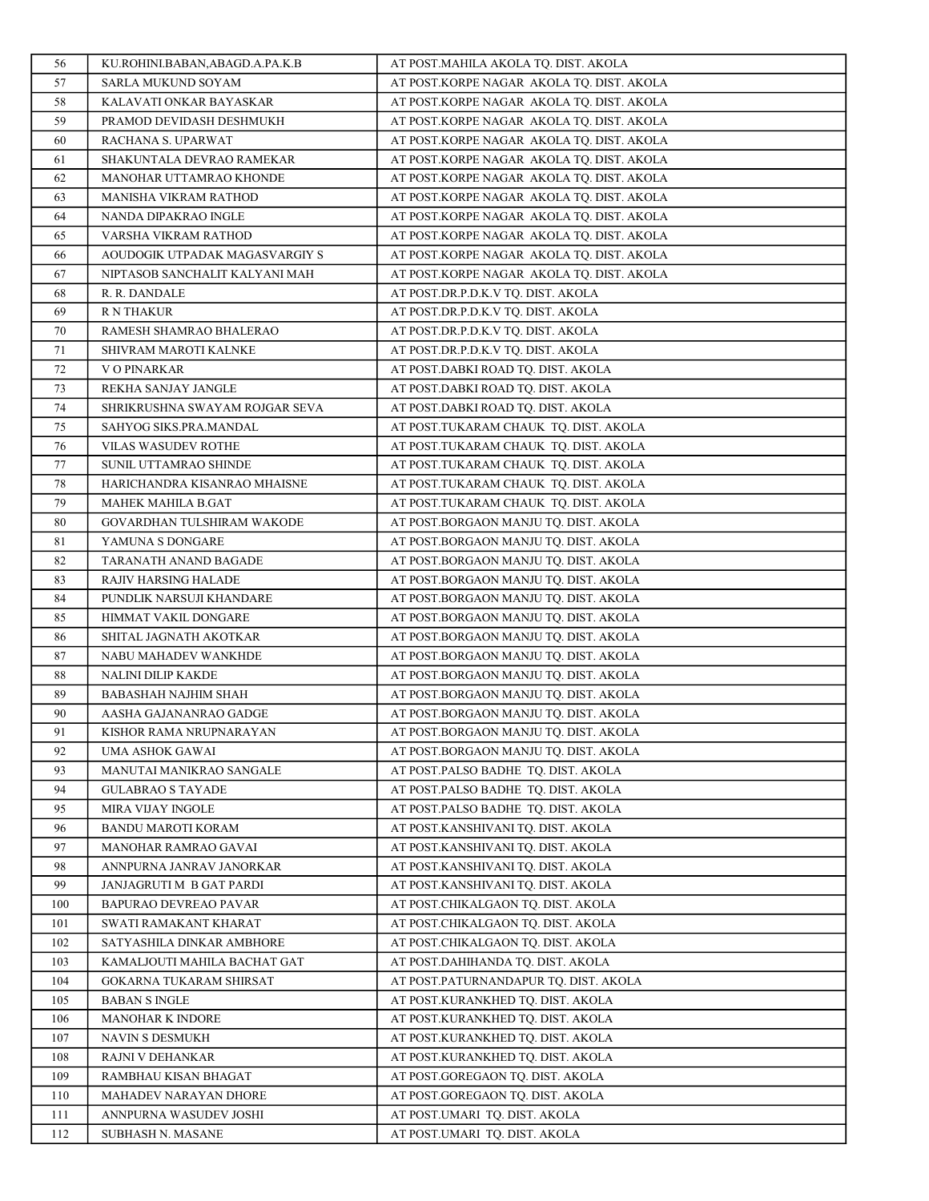| 56       | KU.ROHINI.BABAN,ABAGD.A.PA.K.B             | AT POST.MAHILA AKOLA TQ. DIST. AKOLA                                           |
|----------|--------------------------------------------|--------------------------------------------------------------------------------|
| 57       | SARLA MUKUND SOYAM                         | AT POST.KORPE NAGAR AKOLA TQ. DIST. AKOLA                                      |
| 58       | KALAVATI ONKAR BAYASKAR                    | AT POST.KORPE NAGAR AKOLA TO. DIST. AKOLA                                      |
| 59       | PRAMOD DEVIDASH DESHMUKH                   | AT POST.KORPE NAGAR AKOLA TQ. DIST. AKOLA                                      |
| 60       | RACHANA S. UPARWAT                         | AT POST.KORPE NAGAR AKOLA TQ. DIST. AKOLA                                      |
| 61       | SHAKUNTALA DEVRAO RAMEKAR                  | AT POST.KORPE NAGAR AKOLA TQ. DIST. AKOLA                                      |
| 62       | MANOHAR UTTAMRAO KHONDE                    | AT POST.KORPE NAGAR AKOLA TQ. DIST. AKOLA                                      |
| 63       | MANISHA VIKRAM RATHOD                      | AT POST.KORPE NAGAR AKOLA TQ. DIST. AKOLA                                      |
| 64       | NANDA DIPAKRAO INGLE                       | AT POST.KORPE NAGAR AKOLA TQ. DIST. AKOLA                                      |
| 65       | VARSHA VIKRAM RATHOD                       | AT POST.KORPE NAGAR AKOLA TQ. DIST. AKOLA                                      |
| 66       | AOUDOGIK UTPADAK MAGASVARGIY S             | AT POST.KORPE NAGAR AKOLA TQ. DIST. AKOLA                                      |
| 67       | NIPTASOB SANCHALIT KALYANI MAH             | AT POST.KORPE NAGAR AKOLA TQ. DIST. AKOLA                                      |
| 68       | R. R. DANDALE                              | AT POST.DR.P.D.K.V TQ. DIST. AKOLA                                             |
| 69       | R N THAKUR                                 | AT POST.DR.P.D.K.V TQ. DIST. AKOLA                                             |
| 70       | RAMESH SHAMRAO BHALERAO                    | AT POST.DR.P.D.K.V TQ. DIST. AKOLA                                             |
| 71       | SHIVRAM MAROTI KALNKE                      | AT POST.DR.P.D.K.V TQ. DIST. AKOLA                                             |
| 72       | V O PINARKAR                               | AT POST.DABKI ROAD TQ. DIST. AKOLA                                             |
| 73       | REKHA SANJAY JANGLE                        | AT POST.DABKI ROAD TQ. DIST. AKOLA                                             |
| 74       | SHRIKRUSHNA SWAYAM ROJGAR SEVA             | AT POST.DABKI ROAD TQ. DIST. AKOLA                                             |
| 75       | SAHYOG SIKS.PRA.MANDAL                     | AT POST.TUKARAM CHAUK TO. DIST. AKOLA                                          |
| 76       | VILAS WASUDEV ROTHE                        | AT POST.TUKARAM CHAUK TQ. DIST. AKOLA                                          |
| 77       | SUNIL UTTAMRAO SHINDE                      | AT POST.TUKARAM CHAUK TO. DIST. AKOLA                                          |
| 78       | HARICHANDRA KISANRAO MHAISNE               | AT POST.TUKARAM CHAUK TQ. DIST. AKOLA                                          |
| 79       | MAHEK MAHILA B.GAT                         | AT POST.TUKARAM CHAUK TQ. DIST. AKOLA                                          |
| 80       | GOVARDHAN TULSHIRAM WAKODE                 | AT POST.BORGAON MANJU TQ. DIST. AKOLA                                          |
| 81       | YAMUNA S DONGARE                           | AT POST.BORGAON MANJU TQ. DIST. AKOLA                                          |
| 82       | TARANATH ANAND BAGADE                      | AT POST.BORGAON MANJU TQ. DIST. AKOLA                                          |
| 83       | RAJIV HARSING HALADE                       | AT POST.BORGAON MANJU TQ. DIST. AKOLA                                          |
| 84       | PUNDLIK NARSUJI KHANDARE                   | AT POST.BORGAON MANJU TQ. DIST. AKOLA                                          |
| 85       | HIMMAT VAKIL DONGARE                       | AT POST.BORGAON MANJU TQ. DIST. AKOLA                                          |
| 86       | SHITAL JAGNATH AKOTKAR                     | AT POST.BORGAON MANJU TQ. DIST. AKOLA                                          |
| 87<br>88 | NABU MAHADEV WANKHDE<br>NALINI DILIP KAKDE | AT POST.BORGAON MANJU TQ. DIST. AKOLA<br>AT POST.BORGAON MANJU TQ. DIST. AKOLA |
| 89       | BABASHAH NAJHIM SHAH                       | AT POST.BORGAON MANJU TQ. DIST. AKOLA                                          |
| 90       | AASHA GAJANANRAO GADGE                     | AT POST.BORGAON MANJU TQ. DIST. AKOLA                                          |
| 91       | KISHOR RAMA NRUPNARAYAN                    | AT POST.BORGAON MANJU TQ. DIST. AKOLA                                          |
| 92       | UMA ASHOK GAWAI                            | AT POST.BORGAON MANJU TQ. DIST. AKOLA                                          |
| 93       | MANUTAI MANIKRAO SANGALE                   | AT POST.PALSO BADHE TQ. DIST. AKOLA                                            |
| 94       | <b>GULABRAO S TAYADE</b>                   | AT POST.PALSO BADHE TQ. DIST. AKOLA                                            |
| 95       | <b>MIRA VIJAY INGOLE</b>                   | AT POST.PALSO BADHE TQ. DIST. AKOLA                                            |
| 96       | BANDU MAROTI KORAM                         | AT POST.KANSHIVANI TQ. DIST. AKOLA                                             |
| 97       | MANOHAR RAMRAO GAVAI                       | AT POST.KANSHIVANI TQ. DIST. AKOLA                                             |
| 98       | ANNPURNA JANRAV JANORKAR                   | AT POST.KANSHIVANI TQ. DIST. AKOLA                                             |
| 99       | JANJAGRUTI M B GAT PARDI                   | AT POST.KANSHIVANI TQ. DIST. AKOLA                                             |
| 100      | BAPURAO DEVREAO PAVAR                      | AT POST.CHIKALGAON TQ. DIST. AKOLA                                             |
| 101      | SWATI RAMAKANT KHARAT                      | AT POST.CHIKALGAON TQ. DIST. AKOLA                                             |
| 102      | SATYASHILA DINKAR AMBHORE                  | AT POST.CHIKALGAON TQ. DIST. AKOLA                                             |
| 103      | KAMALJOUTI MAHILA BACHAT GAT               | AT POST.DAHIHANDA TQ. DIST. AKOLA                                              |
| 104      | GOKARNA TUKARAM SHIRSAT                    | AT POST.PATURNANDAPUR TQ. DIST. AKOLA                                          |
| 105      | <b>BABAN S INGLE</b>                       | AT POST.KURANKHED TQ. DIST. AKOLA                                              |
| 106      | MANOHAR K INDORE                           | AT POST.KURANKHED TQ. DIST. AKOLA                                              |
| 107      | NAVIN S DESMUKH                            | AT POST.KURANKHED TQ. DIST. AKOLA                                              |
| 108      | RAJNI V DEHANKAR                           | AT POST.KURANKHED TQ. DIST. AKOLA                                              |
| 109      | RAMBHAU KISAN BHAGAT                       | AT POST.GOREGAON TQ. DIST. AKOLA                                               |
| 110      | MAHADEV NARAYAN DHORE                      | AT POST.GOREGAON TQ. DIST. AKOLA                                               |
| 111      | ANNPURNA WASUDEV JOSHI                     | AT POST.UMARI TQ. DIST. AKOLA                                                  |
| 112      | SUBHASH N. MASANE                          | AT POST.UMARI TQ. DIST. AKOLA                                                  |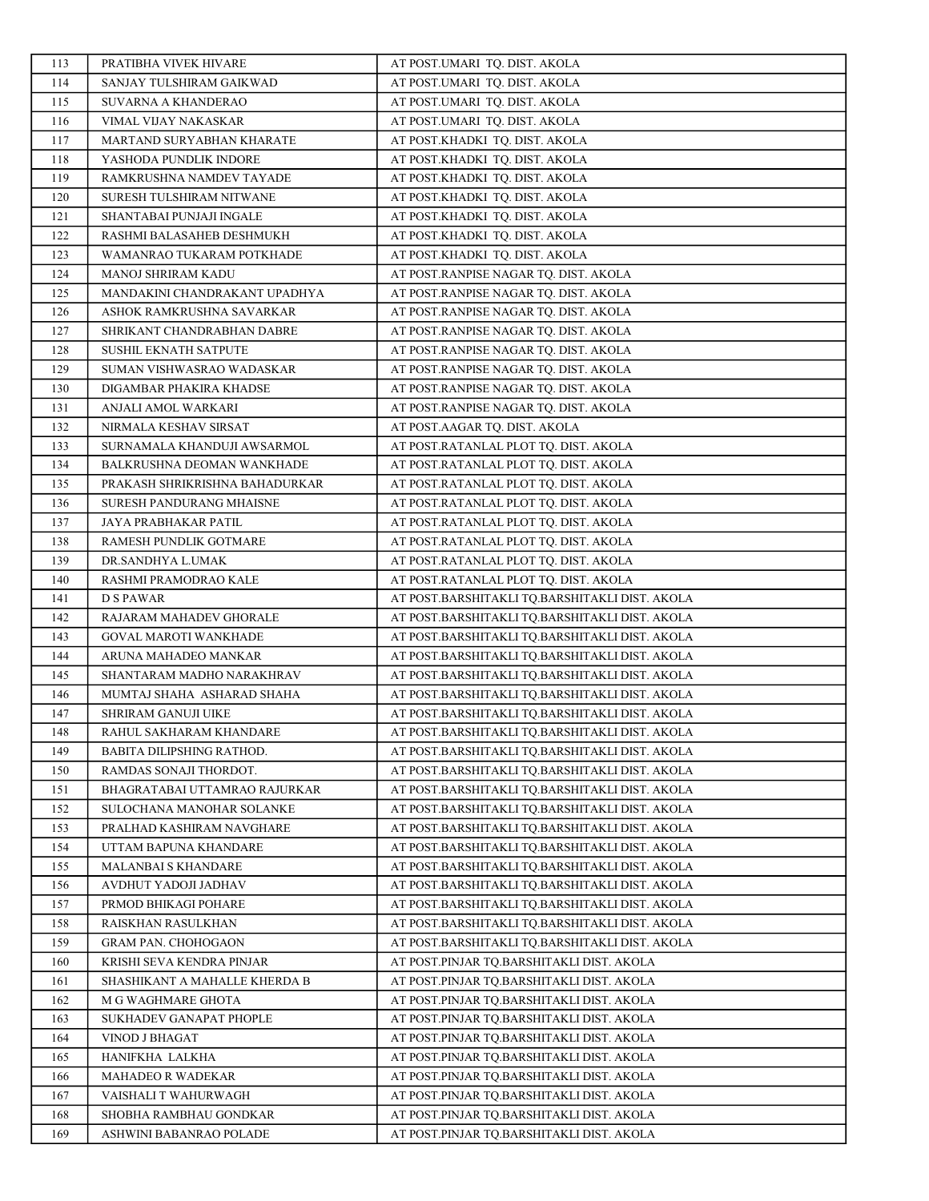| 113        | PRATIBHA VIVEK HIVARE                               | AT POST.UMARI TQ. DIST. AKOLA                                                                    |
|------------|-----------------------------------------------------|--------------------------------------------------------------------------------------------------|
| 114        | SANJAY TULSHIRAM GAIKWAD                            | AT POST.UMARI TO. DIST. AKOLA                                                                    |
| 115        | SUVARNA A KHANDERAO                                 | AT POST.UMARI TQ. DIST. AKOLA                                                                    |
| 116        | VIMAL VIJAY NAKASKAR                                | AT POST.UMARI TQ. DIST. AKOLA                                                                    |
| 117        | MARTAND SURYABHAN KHARATE                           | AT POST.KHADKI TQ. DIST. AKOLA                                                                   |
| 118        | YASHODA PUNDLIK INDORE                              | AT POST.KHADKI TQ. DIST. AKOLA                                                                   |
| 119        | RAMKRUSHNA NAMDEV TAYADE                            | AT POST.KHADKI TQ. DIST. AKOLA                                                                   |
| 120        | SURESH TULSHIRAM NITWANE                            | AT POST.KHADKI TQ. DIST. AKOLA                                                                   |
| 121        | SHANTABAI PUNJAJI INGALE                            | AT POST.KHADKI TQ. DIST. AKOLA                                                                   |
| 122        | RASHMI BALASAHEB DESHMUKH                           | AT POST.KHADKI TO. DIST. AKOLA                                                                   |
| 123        | WAMANRAO TUKARAM POTKHADE                           | AT POST.KHADKI TQ. DIST. AKOLA                                                                   |
| 124        | MANOJ SHRIRAM KADU                                  | AT POST.RANPISE NAGAR TQ. DIST. AKOLA                                                            |
| 125        | MANDAKINI CHANDRAKANT UPADHYA                       | AT POST.RANPISE NAGAR TQ. DIST. AKOLA                                                            |
| 126        | ASHOK RAMKRUSHNA SAVARKAR                           | AT POST.RANPISE NAGAR TQ. DIST. AKOLA                                                            |
| 127        | SHRIKANT CHANDRABHAN DABRE                          | AT POST.RANPISE NAGAR TQ. DIST. AKOLA                                                            |
| 128        | SUSHIL EKNATH SATPUTE                               | AT POST.RANPISE NAGAR TQ. DIST. AKOLA                                                            |
| 129        | SUMAN VISHWASRAO WADASKAR                           | AT POST.RANPISE NAGAR TQ. DIST. AKOLA                                                            |
| 130        | DIGAMBAR PHAKIRA KHADSE                             | AT POST.RANPISE NAGAR TQ. DIST. AKOLA                                                            |
| 131        | ANJALI AMOL WARKARI                                 | AT POST.RANPISE NAGAR TQ. DIST. AKOLA                                                            |
| 132        | NIRMALA KESHAV SIRSAT                               | AT POST.AAGAR TQ. DIST. AKOLA                                                                    |
| 133        | SURNAMALA KHANDUJI AWSARMOL                         | AT POST.RATANLAL PLOT TQ. DIST. AKOLA                                                            |
| 134        | BALKRUSHNA DEOMAN WANKHADE                          | AT POST.RATANLAL PLOT TQ. DIST. AKOLA                                                            |
| 135        | PRAKASH SHRIKRISHNA BAHADURKAR                      | AT POST.RATANLAL PLOT TQ. DIST. AKOLA                                                            |
| 136        | SURESH PANDURANG MHAISNE                            | AT POST.RATANLAL PLOT TQ. DIST. AKOLA                                                            |
| 137        | JAYA PRABHAKAR PATIL                                | AT POST.RATANLAL PLOT TQ. DIST. AKOLA                                                            |
| 138        | RAMESH PUNDLIK GOTMARE                              | AT POST.RATANLAL PLOT TQ. DIST. AKOLA                                                            |
| 139        | DR.SANDHYA L.UMAK                                   | AT POST.RATANLAL PLOT TQ. DIST. AKOLA                                                            |
| 140        | RASHMI PRAMODRAO KALE                               | AT POST.RATANLAL PLOT TQ. DIST. AKOLA                                                            |
| 141        | D S PAWAR                                           | AT POST.BARSHITAKLI TQ.BARSHITAKLI DIST. AKOLA                                                   |
| 142        | RAJARAM MAHADEV GHORALE                             | AT POST.BARSHITAKLI TQ.BARSHITAKLI DIST. AKOLA                                                   |
| 143        | GOVAL MAROTI WANKHADE                               | AT POST.BARSHITAKLI TQ.BARSHITAKLI DIST. AKOLA                                                   |
| 144        | ARUNA MAHADEO MANKAR                                | AT POST.BARSHITAKLI TQ.BARSHITAKLI DIST. AKOLA                                                   |
| 145        | SHANTARAM MADHO NARAKHRAV                           | AT POST.BARSHITAKLI TQ.BARSHITAKLI DIST. AKOLA                                                   |
| 146        | MUMTAJ SHAHA ASHARAD SHAHA                          | AT POST.BARSHITAKLI TQ.BARSHITAKLI DIST. AKOLA                                                   |
| 147        | SHRIRAM GANUJI UIKE                                 | AT POST.BARSHITAKLI TQ.BARSHITAKLI DIST. AKOLA                                                   |
| 148        | RAHUL SAKHARAM KHANDARE                             | AT POST.BARSHITAKLI TQ.BARSHITAKLI DIST. AKOLA                                                   |
| 149        | BABITA DILIPSHING RATHOD.                           | AT POST.BARSHITAKLI TQ.BARSHITAKLI DIST. AKOLA                                                   |
| 150        | RAMDAS SONAJI THORDOT.                              | AT POST.BARSHITAKLI TQ.BARSHITAKLI DIST. AKOLA                                                   |
| 151        | BHAGRATABAI UTTAMRAO RAJURKAR                       | AT POST.BARSHITAKLI TQ.BARSHITAKLI DIST. AKOLA                                                   |
| 152        | SULOCHANA MANOHAR SOLANKE                           | AT POST.BARSHITAKLI TQ.BARSHITAKLI DIST. AKOLA                                                   |
| 153        | PRALHAD KASHIRAM NAVGHARE                           | AT POST.BARSHITAKLI TQ.BARSHITAKLI DIST. AKOLA                                                   |
| 154        | UTTAM BAPUNA KHANDARE                               | AT POST.BARSHITAKLI TO.BARSHITAKLI DIST. AKOLA                                                   |
| 155        | MALANBAI S KHANDARE                                 | AT POST.BARSHITAKLI TQ.BARSHITAKLI DIST. AKOLA                                                   |
| 156        | AVDHUT YADOJI JADHAV                                | AT POST.BARSHITAKLI TQ.BARSHITAKLI DIST. AKOLA<br>AT POST.BARSHITAKLI TO.BARSHITAKLI DIST. AKOLA |
| 157        | PRMOD BHIKAGI POHARE                                |                                                                                                  |
| 158        | RAISKHAN RASULKHAN                                  | AT POST.BARSHITAKLI TQ.BARSHITAKLI DIST. AKOLA                                                   |
| 159        | <b>GRAM PAN. CHOHOGAON</b>                          | AT POST.BARSHITAKLI TQ.BARSHITAKLI DIST. AKOLA                                                   |
| 160        | KRISHI SEVA KENDRA PINJAR                           | AT POST.PINJAR TQ.BARSHITAKLI DIST. AKOLA                                                        |
| 161<br>162 | SHASHIKANT A MAHALLE KHERDA B<br>M G WAGHMARE GHOTA | AT POST.PINJAR TQ.BARSHITAKLI DIST. AKOLA<br>AT POST.PINJAR TQ.BARSHITAKLI DIST. AKOLA           |
| 163        | SUKHADEV GANAPAT PHOPLE                             | AT POST.PINJAR TQ.BARSHITAKLI DIST. AKOLA                                                        |
| 164        | VINOD J BHAGAT                                      | AT POST.PINJAR TQ.BARSHITAKLI DIST. AKOLA                                                        |
| 165        | HANIFKHA LALKHA                                     | AT POST.PINJAR TQ.BARSHITAKLI DIST. AKOLA                                                        |
| 166        | MAHADEO R WADEKAR                                   | AT POST.PINJAR TQ.BARSHITAKLI DIST. AKOLA                                                        |
| 167        | VAISHALI T WAHURWAGH                                | AT POST.PINJAR TQ.BARSHITAKLI DIST. AKOLA                                                        |
| 168        | SHOBHA RAMBHAU GONDKAR                              | AT POST.PINJAR TQ.BARSHITAKLI DIST. AKOLA                                                        |
| 169        | ASHWINI BABANRAO POLADE                             | AT POST.PINJAR TQ.BARSHITAKLI DIST. AKOLA                                                        |
|            |                                                     |                                                                                                  |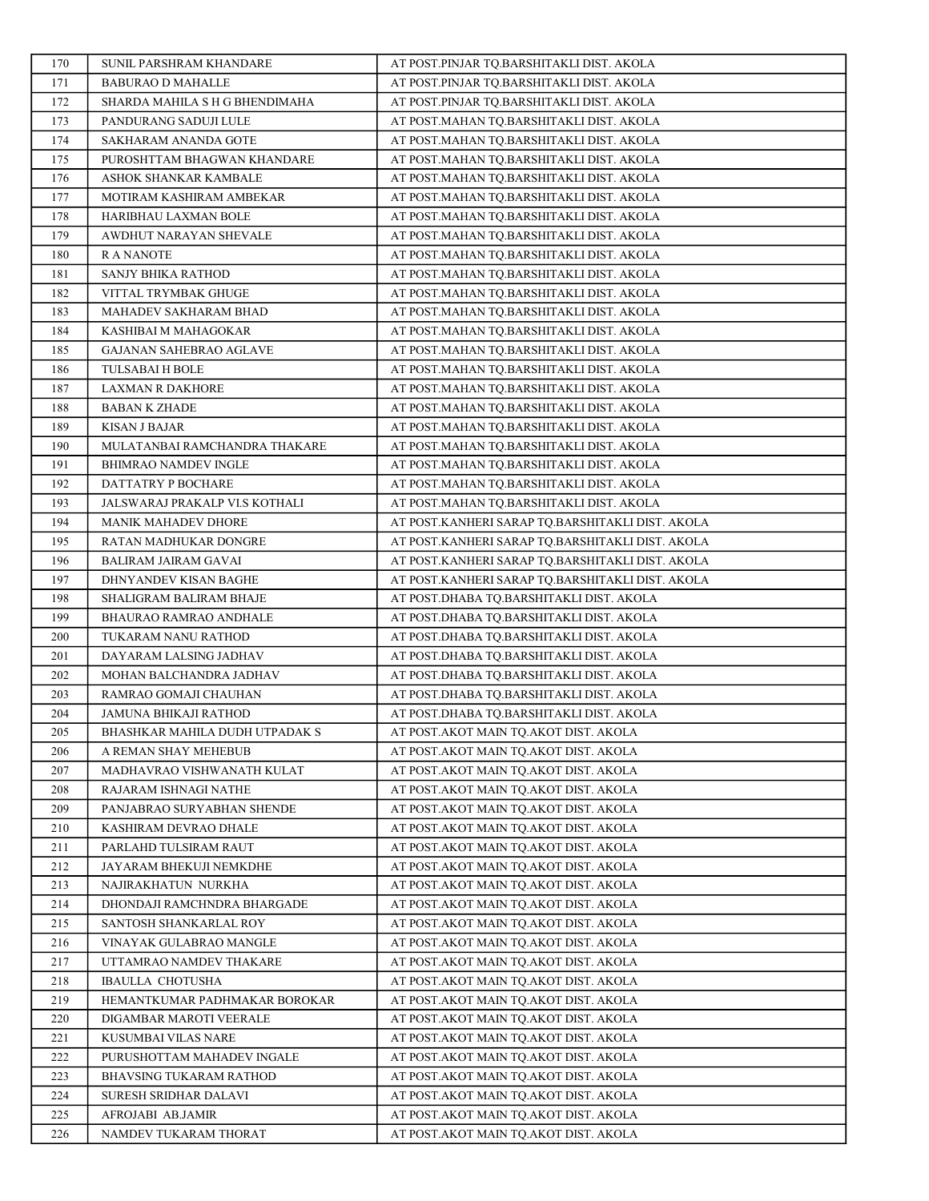| 170        | SUNIL PARSHRAM KHANDARE                       | AT POST.PINJAR TO.BARSHITAKLI DIST. AKOLA                                            |
|------------|-----------------------------------------------|--------------------------------------------------------------------------------------|
| 171        | <b>BABURAO D MAHALLE</b>                      | AT POST.PINJAR TQ.BARSHITAKLI DIST. AKOLA                                            |
| 172        | SHARDA MAHILA S H G BHENDIMAHA                | AT POST.PINJAR TQ.BARSHITAKLI DIST. AKOLA                                            |
| 173        | PANDURANG SADUJI LULE                         | AT POST.MAHAN TQ.BARSHITAKLI DIST. AKOLA                                             |
| 174        | SAKHARAM ANANDA GOTE                          | AT POST.MAHAN TO.BARSHITAKLI DIST. AKOLA                                             |
| 175        | PUROSHTTAM BHAGWAN KHANDARE                   | AT POST.MAHAN TQ.BARSHITAKLI DIST. AKOLA                                             |
| 176        | ASHOK SHANKAR KAMBALE                         | AT POST.MAHAN TQ.BARSHITAKLI DIST. AKOLA                                             |
| 177        | MOTIRAM KASHIRAM AMBEKAR                      | AT POST.MAHAN TQ.BARSHITAKLI DIST. AKOLA                                             |
| 178        | HARIBHAU LAXMAN BOLE                          | AT POST.MAHAN TQ.BARSHITAKLI DIST. AKOLA                                             |
| 179        | AWDHUT NARAYAN SHEVALE                        | AT POST.MAHAN TQ.BARSHITAKLI DIST. AKOLA                                             |
| 180        | R A NANOTE                                    | AT POST.MAHAN TQ.BARSHITAKLI DIST. AKOLA                                             |
| 181        | SANJY BHIKA RATHOD                            | AT POST.MAHAN TQ.BARSHITAKLI DIST. AKOLA                                             |
| 182        | VITTAL TRYMBAK GHUGE                          | AT POST.MAHAN TQ.BARSHITAKLI DIST. AKOLA                                             |
| 183        | MAHADEV SAKHARAM BHAD                         | AT POST.MAHAN TQ.BARSHITAKLI DIST. AKOLA                                             |
| 184        | KASHIBAI M MAHAGOKAR                          | AT POST.MAHAN TQ.BARSHITAKLI DIST. AKOLA                                             |
| 185        | GAJANAN SAHEBRAO AGLAVE                       | AT POST.MAHAN TQ.BARSHITAKLI DIST. AKOLA                                             |
| 186        | <b>TULSABAI H BOLE</b>                        | AT POST.MAHAN TQ.BARSHITAKLI DIST. AKOLA                                             |
| 187        | <b>LAXMAN R DAKHORE</b>                       | AT POST.MAHAN TO.BARSHITAKLI DIST. AKOLA                                             |
| 188        | <b>BABAN K ZHADE</b>                          | AT POST.MAHAN TO.BARSHITAKLI DIST. AKOLA                                             |
| 189        | KISAN J BAJAR                                 | AT POST.MAHAN TQ.BARSHITAKLI DIST. AKOLA                                             |
| 190        | MULATANBAI RAMCHANDRA THAKARE                 | AT POST.MAHAN TQ.BARSHITAKLI DIST. AKOLA                                             |
| 191        | BHIMRAO NAMDEV INGLE                          | AT POST.MAHAN TO.BARSHITAKLI DIST. AKOLA                                             |
| 192        | DATTATRY P BOCHARE                            | AT POST.MAHAN TO.BARSHITAKLI DIST. AKOLA                                             |
| 193        | JALSWARAJ PRAKALP VI.S KOTHALI                | AT POST.MAHAN TQ.BARSHITAKLI DIST. AKOLA                                             |
| 194        | MANIK MAHADEV DHORE                           | AT POST.KANHERI SARAP TQ.BARSHITAKLI DIST. AKOLA                                     |
| 195        | RATAN MADHUKAR DONGRE                         | AT POST.KANHERI SARAP TQ.BARSHITAKLI DIST. AKOLA                                     |
| 196        | <b>BALIRAM JAIRAM GAVAI</b>                   | AT POST.KANHERI SARAP TQ.BARSHITAKLI DIST. AKOLA                                     |
| 197        | DHNYANDEV KISAN BAGHE                         | AT POST.KANHERI SARAP TQ.BARSHITAKLI DIST. AKOLA                                     |
| 198        | SHALIGRAM BALIRAM BHAJE                       | AT POST.DHABA TQ.BARSHITAKLI DIST. AKOLA                                             |
| 199<br>200 | BHAURAO RAMRAO ANDHALE                        | AT POST.DHABA TQ.BARSHITAKLI DIST. AKOLA                                             |
| 201        | TUKARAM NANU RATHOD<br>DAYARAM LALSING JADHAV | AT POST.DHABA TQ.BARSHITAKLI DIST. AKOLA<br>AT POST.DHABA TQ.BARSHITAKLI DIST. AKOLA |
| 202        | MOHAN BALCHANDRA JADHAV                       | AT POST.DHABA TO.BARSHITAKLI DIST. AKOLA                                             |
| 203        | RAMRAO GOMAJI CHAUHAN                         | AT POST.DHABA TQ.BARSHITAKLI DIST. AKOLA                                             |
| 204        | <b>JAMUNA BHIKAJI RATHOD</b>                  | AT POST.DHABA TQ.BARSHITAKLI DIST. AKOLA                                             |
| 205        | BHASHKAR MAHILA DUDH UTPADAK S                | AT POST.AKOT MAIN TQ.AKOT DIST. AKOLA                                                |
| 206        | A REMAN SHAY MEHEBUB                          | AT POST.AKOT MAIN TQ.AKOT DIST. AKOLA                                                |
| 207        | MADHAVRAO VISHWANATH KULAT                    | AT POST.AKOT MAIN TQ.AKOT DIST. AKOLA                                                |
| 208        | RAJARAM ISHNAGI NATHE                         | AT POST.AKOT MAIN TQ.AKOT DIST. AKOLA                                                |
| 209        | PANJABRAO SURYABHAN SHENDE                    | AT POST.AKOT MAIN TO.AKOT DIST. AKOLA                                                |
| 210        | KASHIRAM DEVRAO DHALE                         | AT POST.AKOT MAIN TQ.AKOT DIST. AKOLA                                                |
| 211        | PARLAHD TULSIRAM RAUT                         | AT POST.AKOT MAIN TO.AKOT DIST. AKOLA                                                |
| 212        | JAYARAM BHEKUJI NEMKDHE                       | AT POST.AKOT MAIN TO.AKOT DIST. AKOLA                                                |
| 213        | NAJIRAKHATUN NURKHA                           | AT POST.AKOT MAIN TQ.AKOT DIST. AKOLA                                                |
| 214        | DHONDAJI RAMCHNDRA BHARGADE                   | AT POST.AKOT MAIN TQ.AKOT DIST. AKOLA                                                |
| 215        | SANTOSH SHANKARLAL ROY                        | AT POST.AKOT MAIN TO.AKOT DIST. AKOLA                                                |
| 216        | VINAYAK GULABRAO MANGLE                       | AT POST.AKOT MAIN TQ.AKOT DIST. AKOLA                                                |
| 217        | UTTAMRAO NAMDEV THAKARE                       | AT POST.AKOT MAIN TQ.AKOT DIST. AKOLA                                                |
| 218        | <b>IBAULLA CHOTUSHA</b>                       | AT POST.AKOT MAIN TQ.AKOT DIST. AKOLA                                                |
| 219        | HEMANTKUMAR PADHMAKAR BOROKAR                 | AT POST.AKOT MAIN TQ.AKOT DIST. AKOLA                                                |
| 220        | DIGAMBAR MAROTI VEERALE                       | AT POST.AKOT MAIN TQ.AKOT DIST. AKOLA                                                |
| 221        | KUSUMBAI VILAS NARE                           | AT POST.AKOT MAIN TQ.AKOT DIST. AKOLA                                                |
| 222        | PURUSHOTTAM MAHADEV INGALE                    | AT POST.AKOT MAIN TQ.AKOT DIST. AKOLA                                                |
| 223        | BHAVSING TUKARAM RATHOD                       | AT POST.AKOT MAIN TQ.AKOT DIST. AKOLA                                                |
| 224        | SURESH SRIDHAR DALAVI                         | AT POST.AKOT MAIN TQ.AKOT DIST. AKOLA                                                |
| 225        | AFROJABI AB.JAMIR                             | AT POST.AKOT MAIN TQ.AKOT DIST. AKOLA                                                |
| 226        | NAMDEV TUKARAM THORAT                         | AT POST.AKOT MAIN TQ.AKOT DIST. AKOLA                                                |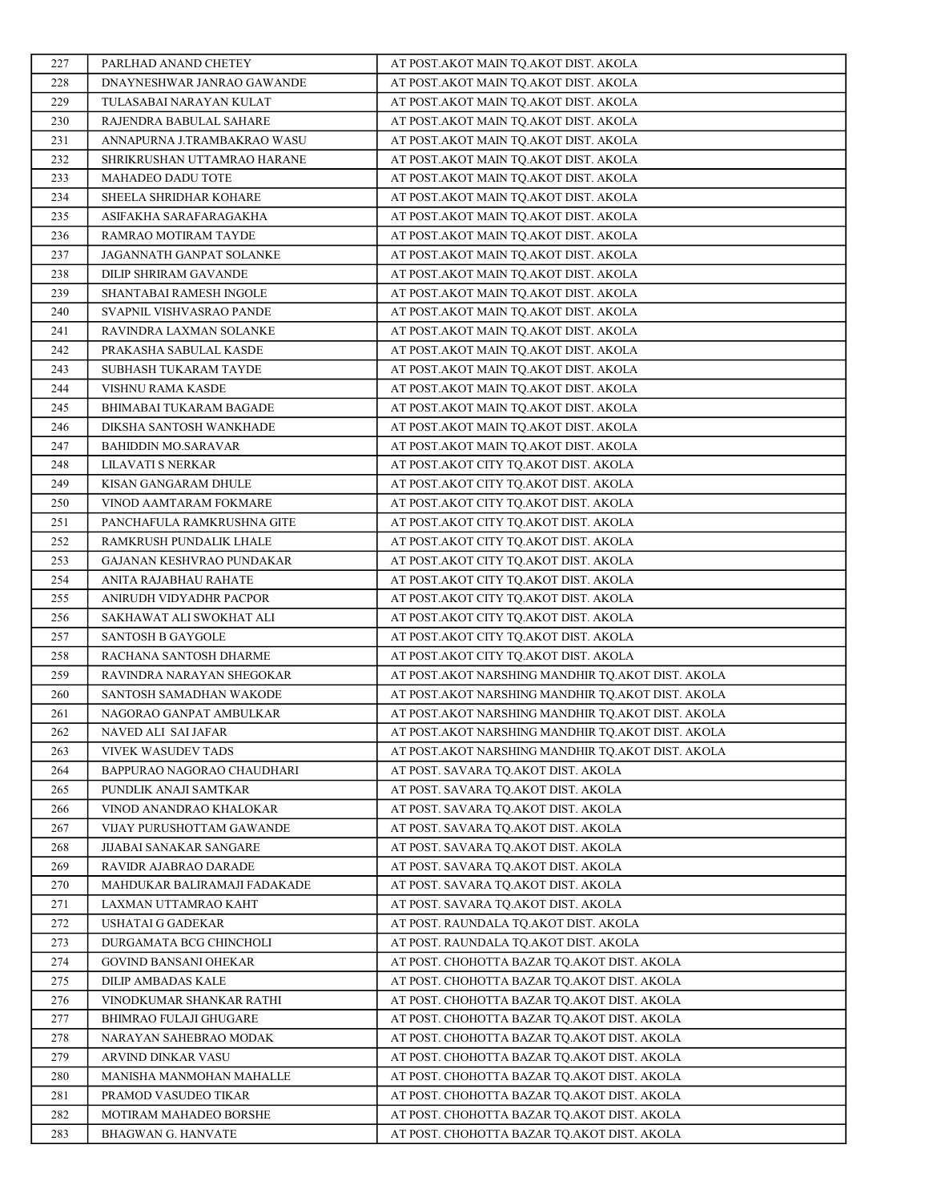| 227        | PARLHAD ANAND CHETEY                      | AT POST.AKOT MAIN TQ.AKOT DIST. AKOLA                                      |
|------------|-------------------------------------------|----------------------------------------------------------------------------|
| 228        | DNAYNESHWAR JANRAO GAWANDE                | AT POST.AKOT MAIN TQ.AKOT DIST. AKOLA                                      |
| 229        | TULASABAI NARAYAN KULAT                   | AT POST.AKOT MAIN TO.AKOT DIST. AKOLA                                      |
| 230        | RAJENDRA BABULAL SAHARE                   | AT POST.AKOT MAIN TQ.AKOT DIST. AKOLA                                      |
| 231        | ANNAPURNA J.TRAMBAKRAO WASU               | AT POST.AKOT MAIN TQ.AKOT DIST. AKOLA                                      |
| 232        | SHRIKRUSHAN UTTAMRAO HARANE               | AT POST.AKOT MAIN TQ.AKOT DIST. AKOLA                                      |
| 233        | MAHADEO DADU TOTE                         | AT POST.AKOT MAIN TQ.AKOT DIST. AKOLA                                      |
| 234        | SHEELA SHRIDHAR KOHARE                    | AT POST.AKOT MAIN TQ.AKOT DIST. AKOLA                                      |
| 235        | ASIFAKHA SARAFARAGAKHA                    | AT POST.AKOT MAIN TQ.AKOT DIST. AKOLA                                      |
| 236        | RAMRAO MOTIRAM TAYDE                      | AT POST.AKOT MAIN TQ.AKOT DIST. AKOLA                                      |
| 237        | JAGANNATH GANPAT SOLANKE                  | AT POST.AKOT MAIN TQ.AKOT DIST. AKOLA                                      |
| 238        | DILIP SHRIRAM GAVANDE                     | AT POST.AKOT MAIN TQ.AKOT DIST. AKOLA                                      |
| 239        | SHANTABAI RAMESH INGOLE                   | AT POST.AKOT MAIN TQ.AKOT DIST. AKOLA                                      |
| 240        | SVAPNIL VISHVASRAO PANDE                  | AT POST.AKOT MAIN TQ.AKOT DIST. AKOLA                                      |
| 241        | RAVINDRA LAXMAN SOLANKE                   | AT POST.AKOT MAIN TQ.AKOT DIST. AKOLA                                      |
| 242        | PRAKASHA SABULAL KASDE                    | AT POST.AKOT MAIN TQ.AKOT DIST. AKOLA                                      |
| 243        | SUBHASH TUKARAM TAYDE                     | AT POST.AKOT MAIN TO.AKOT DIST. AKOLA                                      |
| 244        | <b>VISHNU RAMA KASDE</b>                  | AT POST.AKOT MAIN TQ.AKOT DIST. AKOLA                                      |
| 245        | BHIMABAI TUKARAM BAGADE                   | AT POST.AKOT MAIN TQ.AKOT DIST. AKOLA                                      |
| 246        | DIKSHA SANTOSH WANKHADE                   | AT POST.AKOT MAIN TQ.AKOT DIST. AKOLA                                      |
| 247        | <b>BAHIDDIN MO.SARAVAR</b>                | AT POST.AKOT MAIN TQ.AKOT DIST. AKOLA                                      |
| 248        | LILAVATI S NERKAR                         | AT POST.AKOT CITY TQ.AKOT DIST. AKOLA                                      |
| 249        | KISAN GANGARAM DHULE                      | AT POST.AKOT CITY TQ.AKOT DIST. AKOLA                                      |
| 250        | VINOD AAMTARAM FOKMARE                    | AT POST.AKOT CITY TQ.AKOT DIST. AKOLA                                      |
| 251        | PANCHAFULA RAMKRUSHNA GITE                | AT POST.AKOT CITY TQ.AKOT DIST. AKOLA                                      |
| 252        | RAMKRUSH PUNDALIK LHALE                   | AT POST.AKOT CITY TQ.AKOT DIST. AKOLA                                      |
| 253        | GAJANAN KESHVRAO PUNDAKAR                 | AT POST.AKOT CITY TQ.AKOT DIST. AKOLA                                      |
| 254        | ANITA RAJABHAU RAHATE                     | AT POST.AKOT CITY TQ.AKOT DIST. AKOLA                                      |
| 255        | ANIRUDH VIDYADHR PACPOR                   | AT POST.AKOT CITY TQ.AKOT DIST. AKOLA                                      |
| 256        | SAKHAWAT ALI SWOKHAT ALI                  | AT POST.AKOT CITY TQ.AKOT DIST. AKOLA                                      |
| 257        | SANTOSH B GAYGOLE                         | AT POST.AKOT CITY TQ.AKOT DIST. AKOLA                                      |
| 258        | RACHANA SANTOSH DHARME                    | AT POST.AKOT CITY TO.AKOT DIST. AKOLA                                      |
| 259        | RAVINDRA NARAYAN SHEGOKAR                 | AT POST.AKOT NARSHING MANDHIR TQ.AKOT DIST. AKOLA                          |
| 260        | SANTOSH SAMADHAN WAKODE                   | AT POST.AKOT NARSHING MANDHIR TQ.AKOT DIST. AKOLA                          |
| 261        | NAGORAO GANPAT AMBULKAR                   | AT POST.AKOT NARSHING MANDHIR TQ.AKOT DIST. AKOLA                          |
| 262        | NAVED ALI SAI JAFAR                       | AT POST.AKOT NARSHING MANDHIR TQ.AKOT DIST. AKOLA                          |
| 263        | VIVEK WASUDEV TADS                        | AT POST.AKOT NARSHING MANDHIR TQ.AKOT DIST. AKOLA                          |
| 264        | BAPPURAO NAGORAO CHAUDHARI                | AT POST. SAVARA TQ.AKOT DIST. AKOLA                                        |
| 265        | PUNDLIK ANAJI SAMTKAR                     | AT POST. SAVARA TQ.AKOT DIST. AKOLA                                        |
| 266        | VINOD ANANDRAO KHALOKAR                   | AT POST. SAVARA TQ.AKOT DIST. AKOLA                                        |
| 267        | VIJAY PURUSHOTTAM GAWANDE                 | AT POST. SAVARA TQ.AKOT DIST. AKOLA                                        |
| 268        | JIJABAI SANAKAR SANGARE                   | AT POST. SAVARA TQ.AKOT DIST. AKOLA                                        |
| 269        | RAVIDR AJABRAO DARADE                     | AT POST. SAVARA TQ.AKOT DIST. AKOLA                                        |
| 270        | MAHDUKAR BALIRAMAJI FADAKADE              | AT POST. SAVARA TQ.AKOT DIST. AKOLA<br>AT POST. SAVARA TO.AKOT DIST. AKOLA |
| 271<br>272 | LAXMAN UTTAMRAO KAHT<br>USHATAI G GADEKAR | AT POST. RAUNDALA TQ.AKOT DIST. AKOLA                                      |
| 273        | DURGAMATA BCG CHINCHOLI                   | AT POST. RAUNDALA TQ.AKOT DIST. AKOLA                                      |
| 274        | <b>GOVIND BANSANI OHEKAR</b>              | AT POST. CHOHOTTA BAZAR TQ.AKOT DIST. AKOLA                                |
| 275        | DILIP AMBADAS KALE                        | AT POST. CHOHOTTA BAZAR TQ.AKOT DIST. AKOLA                                |
| 276        | VINODKUMAR SHANKAR RATHI                  | AT POST. CHOHOTTA BAZAR TQ.AKOT DIST. AKOLA                                |
| 277        | <b>BHIMRAO FULAJI GHUGARE</b>             | AT POST. CHOHOTTA BAZAR TQ.AKOT DIST. AKOLA                                |
| 278        | NARAYAN SAHEBRAO MODAK                    | AT POST. CHOHOTTA BAZAR TQ.AKOT DIST. AKOLA                                |
| 279        | ARVIND DINKAR VASU                        | AT POST. CHOHOTTA BAZAR TQ.AKOT DIST. AKOLA                                |
| 280        | MANISHA MANMOHAN MAHALLE                  | AT POST. CHOHOTTA BAZAR TQ.AKOT DIST. AKOLA                                |
| 281        | PRAMOD VASUDEO TIKAR                      | AT POST. CHOHOTTA BAZAR TQ.AKOT DIST. AKOLA                                |
| 282        | MOTIRAM MAHADEO BORSHE                    | AT POST. CHOHOTTA BAZAR TQ.AKOT DIST. AKOLA                                |
| 283        | BHAGWAN G. HANVATE                        | AT POST. CHOHOTTA BAZAR TQ.AKOT DIST. AKOLA                                |
|            |                                           |                                                                            |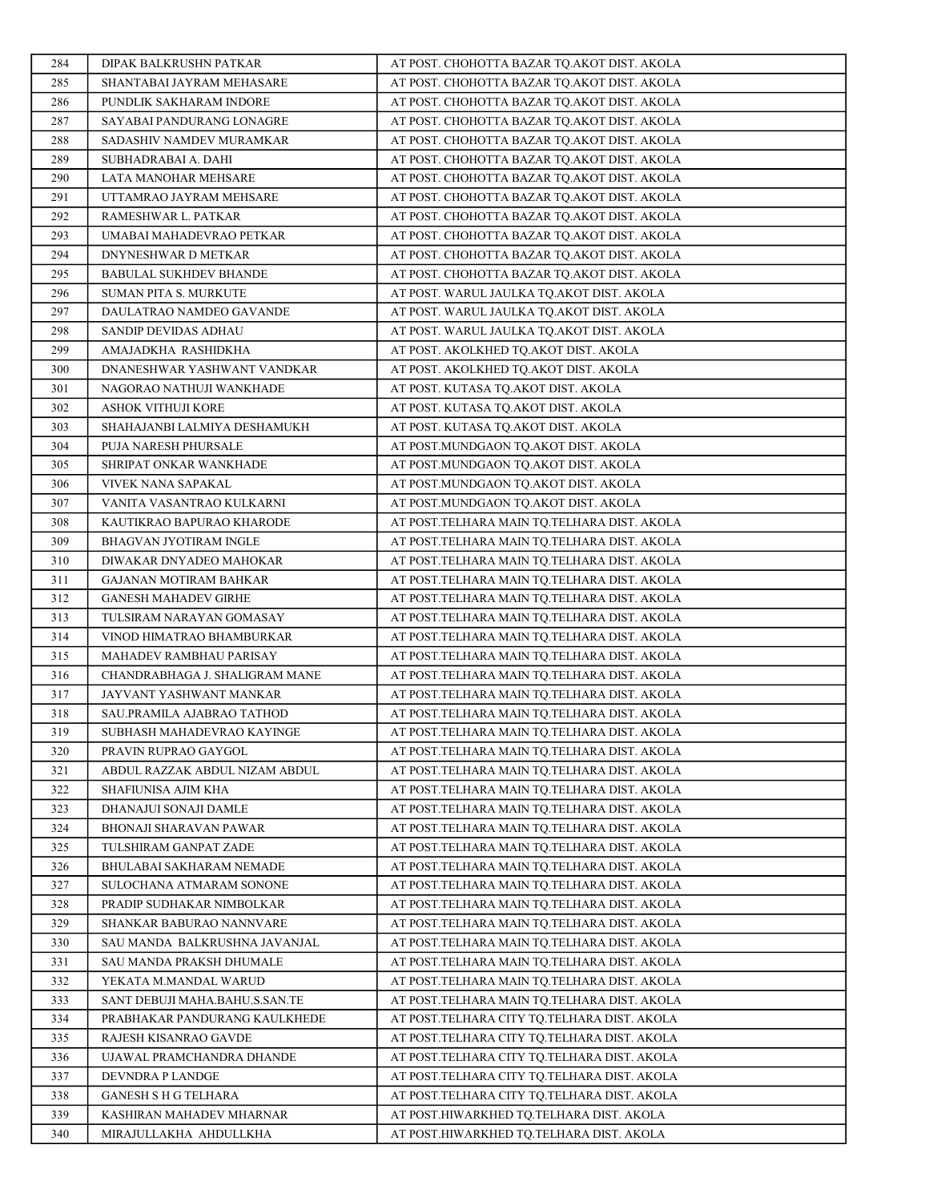| 284        | DIPAK BALKRUSHN PATKAR                                 | AT POST. CHOHOTTA BAZAR TQ.AKOT DIST. AKOLA                                                |
|------------|--------------------------------------------------------|--------------------------------------------------------------------------------------------|
| 285        | SHANTABAI JAYRAM MEHASARE                              | AT POST. CHOHOTTA BAZAR TO.AKOT DIST. AKOLA                                                |
| 286        | PUNDLIK SAKHARAM INDORE                                | AT POST. CHOHOTTA BAZAR TO.AKOT DIST. AKOLA                                                |
| 287        | SAYABAI PANDURANG LONAGRE                              | AT POST. CHOHOTTA BAZAR TQ.AKOT DIST. AKOLA                                                |
| 288        | SADASHIV NAMDEV MURAMKAR                               | AT POST. CHOHOTTA BAZAR TQ.AKOT DIST. AKOLA                                                |
| 289        | SUBHADRABAI A. DAHI                                    | AT POST. CHOHOTTA BAZAR TQ.AKOT DIST. AKOLA                                                |
| 290        | LATA MANOHAR MEHSARE                                   | AT POST. CHOHOTTA BAZAR TQ.AKOT DIST. AKOLA                                                |
| 291        | UTTAMRAO JAYRAM MEHSARE                                | AT POST. CHOHOTTA BAZAR TQ.AKOT DIST. AKOLA                                                |
| 292        | RAMESHWAR L. PATKAR                                    | AT POST. CHOHOTTA BAZAR TQ.AKOT DIST. AKOLA                                                |
| 293        | UMABAI MAHADEVRAO PETKAR                               | AT POST. CHOHOTTA BAZAR TQ.AKOT DIST. AKOLA                                                |
| 294        | DNYNESHWAR D METKAR                                    | AT POST. CHOHOTTA BAZAR TQ.AKOT DIST. AKOLA                                                |
| 295        | <b>BABULAL SUKHDEV BHANDE</b>                          | AT POST. CHOHOTTA BAZAR TQ.AKOT DIST. AKOLA                                                |
| 296        | <b>SUMAN PITA S. MURKUTE</b>                           | AT POST. WARUL JAULKA TQ.AKOT DIST. AKOLA                                                  |
| 297        | DAULATRAO NAMDEO GAVANDE                               | AT POST. WARUL JAULKA TQ.AKOT DIST. AKOLA                                                  |
| 298        | SANDIP DEVIDAS ADHAU                                   | AT POST. WARUL JAULKA TQ.AKOT DIST. AKOLA                                                  |
| 299        | AMAJADKHA RASHIDKHA                                    | AT POST. AKOLKHED TQ.AKOT DIST. AKOLA                                                      |
| 300        | DNANESHWAR YASHWANT VANDKAR                            | AT POST. AKOLKHED TQ.AKOT DIST. AKOLA                                                      |
| 301        | NAGORAO NATHUJI WANKHADE                               | AT POST. KUTASA TQ.AKOT DIST. AKOLA                                                        |
| 302        | <b>ASHOK VITHUJI KORE</b>                              | AT POST. KUTASA TQ.AKOT DIST. AKOLA                                                        |
| 303        | SHAHAJANBI LALMIYA DESHAMUKH                           | AT POST. KUTASA TQ.AKOT DIST. AKOLA                                                        |
| 304        | PUJA NARESH PHURSALE                                   | AT POST.MUNDGAON TQ.AKOT DIST. AKOLA                                                       |
| 305        | SHRIPAT ONKAR WANKHADE                                 | AT POST.MUNDGAON TQ.AKOT DIST. AKOLA                                                       |
| 306        | VIVEK NANA SAPAKAL                                     | AT POST.MUNDGAON TO.AKOT DIST. AKOLA                                                       |
| 307        | VANITA VASANTRAO KULKARNI                              | AT POST.MUNDGAON TQ.AKOT DIST. AKOLA                                                       |
| 308        | KAUTIKRAO BAPURAO KHARODE                              | AT POST.TELHARA MAIN TQ.TELHARA DIST. AKOLA                                                |
| 309        | BHAGVAN JYOTIRAM INGLE                                 | AT POST.TELHARA MAIN TQ.TELHARA DIST. AKOLA                                                |
| 310        | DIWAKAR DNYADEO MAHOKAR                                | AT POST.TELHARA MAIN TQ.TELHARA DIST. AKOLA                                                |
| 311        | <b>GAJANAN MOTIRAM BAHKAR</b>                          | AT POST.TELHARA MAIN TQ.TELHARA DIST. AKOLA                                                |
| 312        | <b>GANESH MAHADEV GIRHE</b>                            | AT POST.TELHARA MAIN TQ.TELHARA DIST. AKOLA                                                |
| 313        | TULSIRAM NARAYAN GOMASAY                               | AT POST.TELHARA MAIN TQ.TELHARA DIST. AKOLA                                                |
| 314        | VINOD HIMATRAO BHAMBURKAR                              | AT POST.TELHARA MAIN TQ.TELHARA DIST. AKOLA                                                |
| 315        | MAHADEV RAMBHAU PARISAY                                | AT POST.TELHARA MAIN TQ.TELHARA DIST. AKOLA                                                |
| 316        | CHANDRABHAGA J. SHALIGRAM MANE                         | AT POST.TELHARA MAIN TQ.TELHARA DIST. AKOLA                                                |
| 317        | JAYVANT YASHWANT MANKAR                                | AT POST.TELHARA MAIN TO.TELHARA DIST. AKOLA                                                |
| 318        | SAU.PRAMILA AJABRAO TATHOD                             | AT POST.TELHARA MAIN TQ.TELHARA DIST. AKOLA                                                |
| 319        | SUBHASH MAHADEVRAO KAYINGE                             | AT POST.TELHARA MAIN TQ.TELHARA DIST. AKOLA                                                |
| 320<br>321 | PRAVIN RUPRAO GAYGOL<br>ABDUL RAZZAK ABDUL NIZAM ABDUL | AT POST.TELHARA MAIN TQ.TELHARA DIST. AKOLA<br>AT POST.TELHARA MAIN TQ.TELHARA DIST. AKOLA |
| 322        | SHAFIUNISA AJIM KHA                                    | AT POST.TELHARA MAIN TQ.TELHARA DIST. AKOLA                                                |
| 323        | DHANAJUI SONAJI DAMLE                                  | AT POST.TELHARA MAIN TQ.TELHARA DIST. AKOLA                                                |
| 324        | BHONAJI SHARAVAN PAWAR                                 | AT POST.TELHARA MAIN TQ.TELHARA DIST. AKOLA                                                |
| 325        | TULSHIRAM GANPAT ZADE                                  | AT POST.TELHARA MAIN TO.TELHARA DIST. AKOLA                                                |
| 326        | BHULABAI SAKHARAM NEMADE                               | AT POST.TELHARA MAIN TQ.TELHARA DIST. AKOLA                                                |
| 327        | SULOCHANA ATMARAM SONONE                               | AT POST.TELHARA MAIN TQ.TELHARA DIST. AKOLA                                                |
| 328        | PRADIP SUDHAKAR NIMBOLKAR                              | AT POST.TELHARA MAIN TQ.TELHARA DIST. AKOLA                                                |
| 329        | SHANKAR BABURAO NANNVARE                               | AT POST.TELHARA MAIN TQ.TELHARA DIST. AKOLA                                                |
| 330        | SAU MANDA BALKRUSHNA JAVANJAL                          | AT POST.TELHARA MAIN TQ.TELHARA DIST. AKOLA                                                |
| 331        | SAU MANDA PRAKSH DHUMALE                               | AT POST.TELHARA MAIN TQ.TELHARA DIST. AKOLA                                                |
| 332        | YEKATA M.MANDAL WARUD                                  | AT POST.TELHARA MAIN TQ.TELHARA DIST. AKOLA                                                |
| 333        | SANT DEBUJI MAHA.BAHU.S.SAN.TE                         | AT POST.TELHARA MAIN TQ.TELHARA DIST. AKOLA                                                |
| 334        | PRABHAKAR PANDURANG KAULKHEDE                          | AT POST.TELHARA CITY TQ.TELHARA DIST. AKOLA                                                |
| 335        | RAJESH KISANRAO GAVDE                                  | AT POST.TELHARA CITY TQ.TELHARA DIST. AKOLA                                                |
| 336        | UJAWAL PRAMCHANDRA DHANDE                              | AT POST.TELHARA CITY TQ.TELHARA DIST. AKOLA                                                |
| 337        | DEVNDRA P LANDGE                                       | AT POST.TELHARA CITY TQ.TELHARA DIST. AKOLA                                                |
| 338        | <b>GANESH S H G TELHARA</b>                            | AT POST.TELHARA CITY TQ.TELHARA DIST. AKOLA                                                |
| 339        | KASHIRAN MAHADEV MHARNAR                               | AT POST.HIWARKHED TQ.TELHARA DIST. AKOLA                                                   |
| 340        | MIRAJULLAKHA AHDULLKHA                                 | AT POST.HIWARKHED TQ.TELHARA DIST. AKOLA                                                   |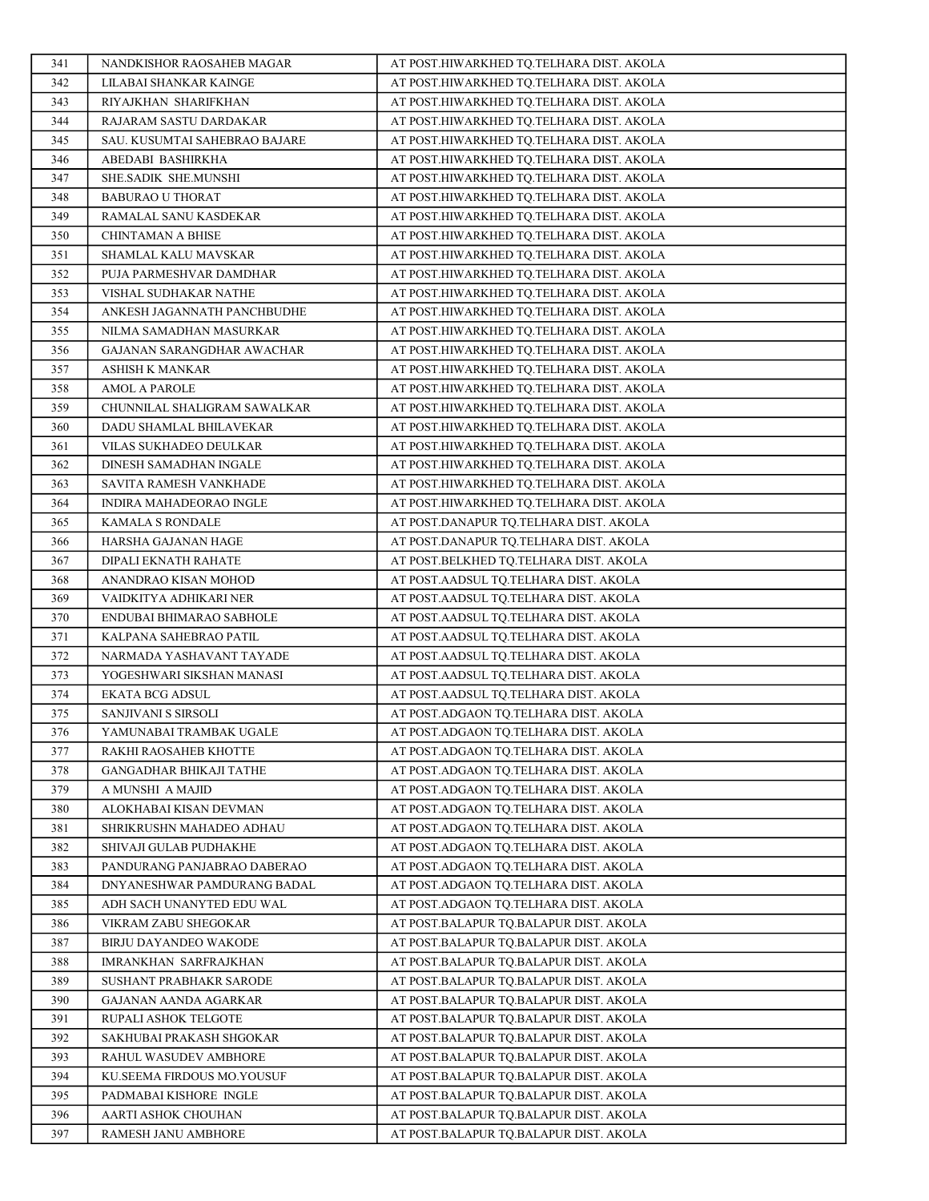| 341        | NANDKISHOR RAOSAHEB MAGAR                          | AT POST.HIWARKHED TQ.TELHARA DIST. AKOLA                                       |
|------------|----------------------------------------------------|--------------------------------------------------------------------------------|
| 342        | LILABAI SHANKAR KAINGE                             | AT POST.HIWARKHED TQ.TELHARA DIST. AKOLA                                       |
| 343        | RIYAJKHAN SHARIFKHAN                               | AT POST.HIWARKHED TQ.TELHARA DIST. AKOLA                                       |
| 344        | RAJARAM SASTU DARDAKAR                             | AT POST.HIWARKHED TQ.TELHARA DIST. AKOLA                                       |
| 345        | SAU. KUSUMTAI SAHEBRAO BAJARE                      | AT POST.HIWARKHED TQ.TELHARA DIST. AKOLA                                       |
| 346        | ABEDABI BASHIRKHA                                  | AT POST.HIWARKHED TQ.TELHARA DIST. AKOLA                                       |
| 347        | SHE.SADIK SHE.MUNSHI                               | AT POST.HIWARKHED TQ.TELHARA DIST. AKOLA                                       |
| 348        | <b>BABURAO U THORAT</b>                            | AT POST.HIWARKHED TQ.TELHARA DIST. AKOLA                                       |
| 349        | RAMALAL SANU KASDEKAR                              | AT POST.HIWARKHED TQ.TELHARA DIST. AKOLA                                       |
| 350        | <b>CHINTAMAN A BHISE</b>                           | AT POST.HIWARKHED TQ.TELHARA DIST. AKOLA                                       |
| 351        | SHAMLAL KALU MAVSKAR                               | AT POST.HIWARKHED TQ.TELHARA DIST. AKOLA                                       |
| 352        | PUJA PARMESHVAR DAMDHAR                            | AT POST.HIWARKHED TQ.TELHARA DIST. AKOLA                                       |
| 353        | VISHAL SUDHAKAR NATHE                              | AT POST.HIWARKHED TQ.TELHARA DIST. AKOLA                                       |
| 354        | ANKESH JAGANNATH PANCHBUDHE                        | AT POST.HIWARKHED TQ.TELHARA DIST. AKOLA                                       |
| 355        | NILMA SAMADHAN MASURKAR                            | AT POST.HIWARKHED TQ.TELHARA DIST. AKOLA                                       |
| 356        | GAJANAN SARANGDHAR AWACHAR                         | AT POST.HIWARKHED TQ.TELHARA DIST. AKOLA                                       |
| 357        | ASHISH K MANKAR                                    | AT POST.HIWARKHED TQ.TELHARA DIST. AKOLA                                       |
| 358        | <b>AMOL A PAROLE</b>                               | AT POST.HIWARKHED TQ.TELHARA DIST. AKOLA                                       |
| 359        | CHUNNILAL SHALIGRAM SAWALKAR                       | AT POST.HIWARKHED TQ.TELHARA DIST. AKOLA                                       |
| 360        | DADU SHAMLAL BHILAVEKAR                            | AT POST.HIWARKHED TQ.TELHARA DIST. AKOLA                                       |
| 361        | VILAS SUKHADEO DEULKAR                             | AT POST.HIWARKHED TQ.TELHARA DIST. AKOLA                                       |
| 362        | DINESH SAMADHAN INGALE                             | AT POST.HIWARKHED TQ.TELHARA DIST. AKOLA                                       |
| 363        | SAVITA RAMESH VANKHADE                             | AT POST.HIWARKHED TO.TELHARA DIST. AKOLA                                       |
| 364        | INDIRA MAHADEORAO INGLE                            | AT POST.HIWARKHED TQ.TELHARA DIST. AKOLA                                       |
| 365        | KAMALA S RONDALE                                   | AT POST.DANAPUR TQ.TELHARA DIST. AKOLA                                         |
| 366        | HARSHA GAJANAN HAGE                                | AT POST.DANAPUR TQ.TELHARA DIST. AKOLA                                         |
| 367        | DIPALI EKNATH RAHATE                               | AT POST.BELKHED TQ.TELHARA DIST. AKOLA                                         |
| 368        | ANANDRAO KISAN MOHOD                               | AT POST.AADSUL TQ.TELHARA DIST. AKOLA                                          |
| 369        | VAIDKITYA ADHIKARI NER                             | AT POST.AADSUL TQ.TELHARA DIST. AKOLA                                          |
| 370<br>371 | ENDUBAI BHIMARAO SABHOLE<br>KALPANA SAHEBRAO PATIL | AT POST.AADSUL TQ.TELHARA DIST. AKOLA                                          |
| 372        | NARMADA YASHAVANT TAYADE                           | AT POST.AADSUL TQ.TELHARA DIST. AKOLA<br>AT POST.AADSUL TQ.TELHARA DIST. AKOLA |
| 373        | YOGESHWARI SIKSHAN MANASI                          | AT POST.AADSUL TO.TELHARA DIST. AKOLA                                          |
| 374        | <b>EKATA BCG ADSUL</b>                             | AT POST.AADSUL TQ.TELHARA DIST. AKOLA                                          |
| 375        | SANJIVANI S SIRSOLI                                | AT POST.ADGAON TQ.TELHARA DIST. AKOLA                                          |
| 376        | YAMUNABAI TRAMBAK UGALE                            | AT POST.ADGAON TQ.TELHARA DIST. AKOLA                                          |
| 377        | RAKHI RAOSAHEB KHOTTE                              | AT POST.ADGAON TQ.TELHARA DIST. AKOLA                                          |
| 378        | GANGADHAR BHIKAJI TATHE                            | AT POST.ADGAON TQ.TELHARA DIST. AKOLA                                          |
| 379        | A MUNSHI A MAJID                                   | AT POST.ADGAON TQ.TELHARA DIST. AKOLA                                          |
| 380        | ALOKHABAI KISAN DEVMAN                             | AT POST.ADGAON TQ.TELHARA DIST. AKOLA                                          |
| 381        | SHRIKRUSHN MAHADEO ADHAU                           | AT POST.ADGAON TQ.TELHARA DIST. AKOLA                                          |
| 382        | SHIVAJI GULAB PUDHAKHE                             | AT POST.ADGAON TQ.TELHARA DIST. AKOLA                                          |
| 383        | PANDURANG PANJABRAO DABERAO                        | AT POST.ADGAON TQ.TELHARA DIST. AKOLA                                          |
| 384        | DNYANESHWAR PAMDURANG BADAL                        | AT POST.ADGAON TQ.TELHARA DIST. AKOLA                                          |
| 385        | ADH SACH UNANYTED EDU WAL                          | AT POST.ADGAON TO.TELHARA DIST. AKOLA                                          |
| 386        | VIKRAM ZABU SHEGOKAR                               | AT POST.BALAPUR TQ.BALAPUR DIST. AKOLA                                         |
| 387        | BIRJU DAYANDEO WAKODE                              | AT POST.BALAPUR TQ.BALAPUR DIST. AKOLA                                         |
| 388        | <b>IMRANKHAN SARFRAJKHAN</b>                       | AT POST.BALAPUR TQ.BALAPUR DIST. AKOLA                                         |
| 389        | SUSHANT PRABHAKR SARODE                            | AT POST.BALAPUR TQ.BALAPUR DIST. AKOLA                                         |
| 390        | GAJANAN AANDA AGARKAR                              | AT POST.BALAPUR TQ.BALAPUR DIST. AKOLA                                         |
| 391        | RUPALI ASHOK TELGOTE                               | AT POST.BALAPUR TQ.BALAPUR DIST. AKOLA                                         |
| 392        | SAKHUBAI PRAKASH SHGOKAR                           | AT POST.BALAPUR TQ.BALAPUR DIST. AKOLA                                         |
| 393        | RAHUL WASUDEV AMBHORE                              | AT POST.BALAPUR TQ.BALAPUR DIST. AKOLA                                         |
| 394        | KU.SEEMA FIRDOUS MO.YOUSUF                         | AT POST.BALAPUR TQ.BALAPUR DIST. AKOLA                                         |
| 395        | PADMABAI KISHORE INGLE                             | AT POST.BALAPUR TQ.BALAPUR DIST. AKOLA                                         |
| 396        | AARTI ASHOK CHOUHAN                                | AT POST.BALAPUR TQ.BALAPUR DIST. AKOLA                                         |
| 397        | RAMESH JANU AMBHORE                                | AT POST.BALAPUR TQ.BALAPUR DIST. AKOLA                                         |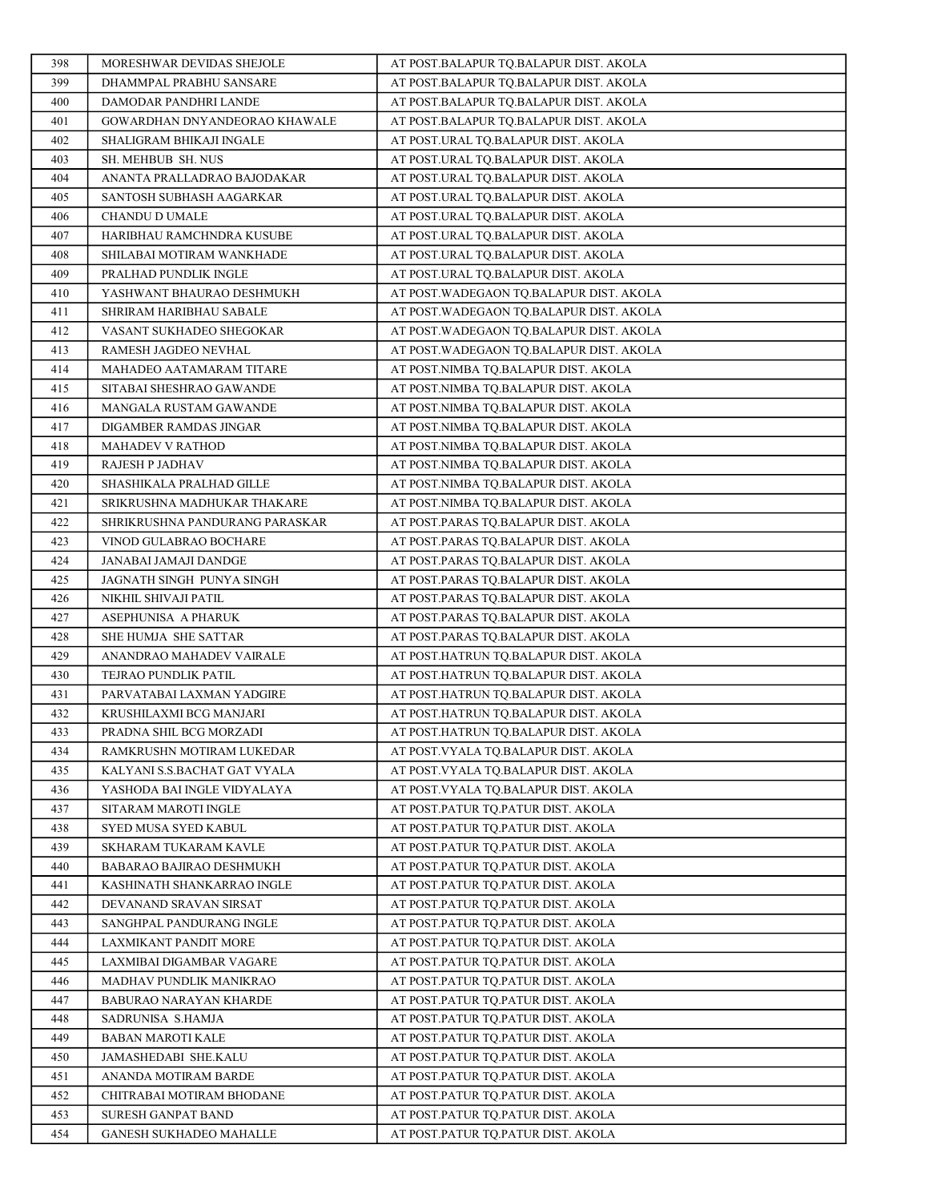| 398        | MORESHWAR DEVIDAS SHEJOLE                        | AT POST.BALAPUR TQ.BALAPUR DIST. AKOLA                                        |
|------------|--------------------------------------------------|-------------------------------------------------------------------------------|
| 399        | DHAMMPAL PRABHU SANSARE                          | AT POST.BALAPUR TQ.BALAPUR DIST. AKOLA                                        |
| 400        | DAMODAR PANDHRI LANDE                            | AT POST.BALAPUR TQ.BALAPUR DIST. AKOLA                                        |
| 401        | GOWARDHAN DNYANDEORAO KHAWALE                    | AT POST.BALAPUR TQ.BALAPUR DIST. AKOLA                                        |
| 402        | SHALIGRAM BHIKAJI INGALE                         | AT POST.URAL TQ.BALAPUR DIST. AKOLA                                           |
| 403        | SH. MEHBUB SH. NUS                               | AT POST.URAL TQ.BALAPUR DIST. AKOLA                                           |
| 404        | ANANTA PRALLADRAO BAJODAKAR                      | AT POST.URAL TQ.BALAPUR DIST. AKOLA                                           |
| 405        | SANTOSH SUBHASH AAGARKAR                         | AT POST.URAL TQ.BALAPUR DIST. AKOLA                                           |
| 406        | CHANDU D UMALE                                   | AT POST.URAL TQ.BALAPUR DIST. AKOLA                                           |
| 407        | HARIBHAU RAMCHNDRA KUSUBE                        | AT POST.URAL TO.BALAPUR DIST. AKOLA                                           |
| 408        | SHILABAI MOTIRAM WANKHADE                        | AT POST.URAL TQ.BALAPUR DIST. AKOLA                                           |
| 409        | PRALHAD PUNDLIK INGLE                            | AT POST.URAL TQ.BALAPUR DIST. AKOLA                                           |
| 410        | YASHWANT BHAURAO DESHMUKH                        | AT POST. WADEGAON TO.BALAPUR DIST. AKOLA                                      |
| 411        | SHRIRAM HARIBHAU SABALE                          | AT POST. WADEGAON TQ.BALAPUR DIST. AKOLA                                      |
| 412        | VASANT SUKHADEO SHEGOKAR                         | AT POST.WADEGAON TQ.BALAPUR DIST. AKOLA                                       |
| 413        | RAMESH JAGDEO NEVHAL                             | AT POST. WADEGAON TQ.BALAPUR DIST. AKOLA                                      |
| 414        | MAHADEO AATAMARAM TITARE                         | AT POST.NIMBA TQ.BALAPUR DIST. AKOLA                                          |
| 415        | SITABAI SHESHRAO GAWANDE                         | AT POST.NIMBA TQ.BALAPUR DIST. AKOLA                                          |
| 416        | MANGALA RUSTAM GAWANDE                           | AT POST.NIMBA TO.BALAPUR DIST. AKOLA                                          |
| 417        | DIGAMBER RAMDAS JINGAR                           | AT POST.NIMBA TQ.BALAPUR DIST. AKOLA                                          |
| 418        | MAHADEV V RATHOD                                 | AT POST.NIMBA TQ.BALAPUR DIST. AKOLA                                          |
| 419        | RAJESH P JADHAV                                  | AT POST.NIMBA TQ.BALAPUR DIST. AKOLA                                          |
| 420        | SHASHIKALA PRALHAD GILLE                         | AT POST.NIMBA TQ.BALAPUR DIST. AKOLA                                          |
| 421        | SRIKRUSHNA MADHUKAR THAKARE                      | AT POST.NIMBA TQ.BALAPUR DIST. AKOLA                                          |
| 422        | SHRIKRUSHNA PANDURANG PARASKAR                   | AT POST.PARAS TQ.BALAPUR DIST. AKOLA                                          |
| 423        | VINOD GULABRAO BOCHARE                           | AT POST.PARAS TQ.BALAPUR DIST. AKOLA                                          |
| 424        | JANABAI JAMAJI DANDGE                            | AT POST.PARAS TQ.BALAPUR DIST. AKOLA                                          |
| 425        | JAGNATH SINGH PUNYA SINGH                        | AT POST.PARAS TQ.BALAPUR DIST. AKOLA                                          |
| 426        | NIKHIL SHIVAJI PATIL                             | AT POST.PARAS TQ.BALAPUR DIST. AKOLA                                          |
| 427<br>428 | ASEPHUNISA A PHARUK                              | AT POST.PARAS TQ.BALAPUR DIST. AKOLA                                          |
| 429        | SHE HUMJA SHE SATTAR<br>ANANDRAO MAHADEV VAIRALE | AT POST.PARAS TQ.BALAPUR DIST. AKOLA<br>AT POST.HATRUN TQ.BALAPUR DIST. AKOLA |
| 430        | TEJRAO PUNDLIK PATIL                             | AT POST.HATRUN TQ.BALAPUR DIST. AKOLA                                         |
| 431        | PARVATABAI LAXMAN YADGIRE                        | AT POST.HATRUN TO.BALAPUR DIST. AKOLA                                         |
| 432        | KRUSHILAXMI BCG MANJARI                          | AT POST.HATRUN TQ.BALAPUR DIST. AKOLA                                         |
| 433        | PRADNA SHIL BCG MORZADI                          | AT POST.HATRUN TQ.BALAPUR DIST. AKOLA                                         |
| 434        | RAMKRUSHN MOTIRAM LUKEDAR                        | AT POST.VYALA TQ.BALAPUR DIST. AKOLA                                          |
| 435        | KALYANI S.S.BACHAT GAT VYALA                     | AT POST.VYALA TQ.BALAPUR DIST. AKOLA                                          |
| 436        | YASHODA BAI INGLE VIDYALAYA                      | AT POST.VYALA TQ.BALAPUR DIST. AKOLA                                          |
| 437        | SITARAM MAROTI INGLE                             | AT POST.PATUR TO.PATUR DIST. AKOLA                                            |
| 438        | SYED MUSA SYED KABUL                             | AT POST.PATUR TQ.PATUR DIST. AKOLA                                            |
| 439        | SKHARAM TUKARAM KAVLE                            | AT POST.PATUR TO.PATUR DIST. AKOLA                                            |
| 440        | BABARAO BAJIRAO DESHMUKH                         | AT POST.PATUR TO.PATUR DIST. AKOLA                                            |
| 441        | KASHINATH SHANKARRAO INGLE                       | AT POST.PATUR TQ.PATUR DIST. AKOLA                                            |
| 442        | DEVANAND SRAVAN SIRSAT                           | AT POST.PATUR TO.PATUR DIST. AKOLA                                            |
| 443        | SANGHPAL PANDURANG INGLE                         | AT POST.PATUR TO.PATUR DIST. AKOLA                                            |
| 444        | LAXMIKANT PANDIT MORE                            | AT POST.PATUR TQ.PATUR DIST. AKOLA                                            |
| 445        | LAXMIBAI DIGAMBAR VAGARE                         | AT POST.PATUR TQ.PATUR DIST. AKOLA                                            |
| 446        | MADHAV PUNDLIK MANIKRAO                          | AT POST.PATUR TQ.PATUR DIST. AKOLA                                            |
| 447        | BABURAO NARAYAN KHARDE                           | AT POST.PATUR TQ.PATUR DIST. AKOLA                                            |
| 448        | SADRUNISA S.HAMJA                                | AT POST.PATUR TQ.PATUR DIST. AKOLA                                            |
| 449        | <b>BABAN MAROTI KALE</b>                         | AT POST.PATUR TQ.PATUR DIST. AKOLA                                            |
| 450        | JAMASHEDABI SHE.KALU                             | AT POST.PATUR TQ.PATUR DIST. AKOLA                                            |
| 451        | ANANDA MOTIRAM BARDE                             | AT POST.PATUR TQ.PATUR DIST. AKOLA                                            |
| 452        | CHITRABAI MOTIRAM BHODANE                        | AT POST.PATUR TQ.PATUR DIST. AKOLA                                            |
| 453        | SURESH GANPAT BAND                               | AT POST.PATUR TQ.PATUR DIST. AKOLA                                            |
| 454        | GANESH SUKHADEO MAHALLE                          | AT POST.PATUR TQ.PATUR DIST. AKOLA                                            |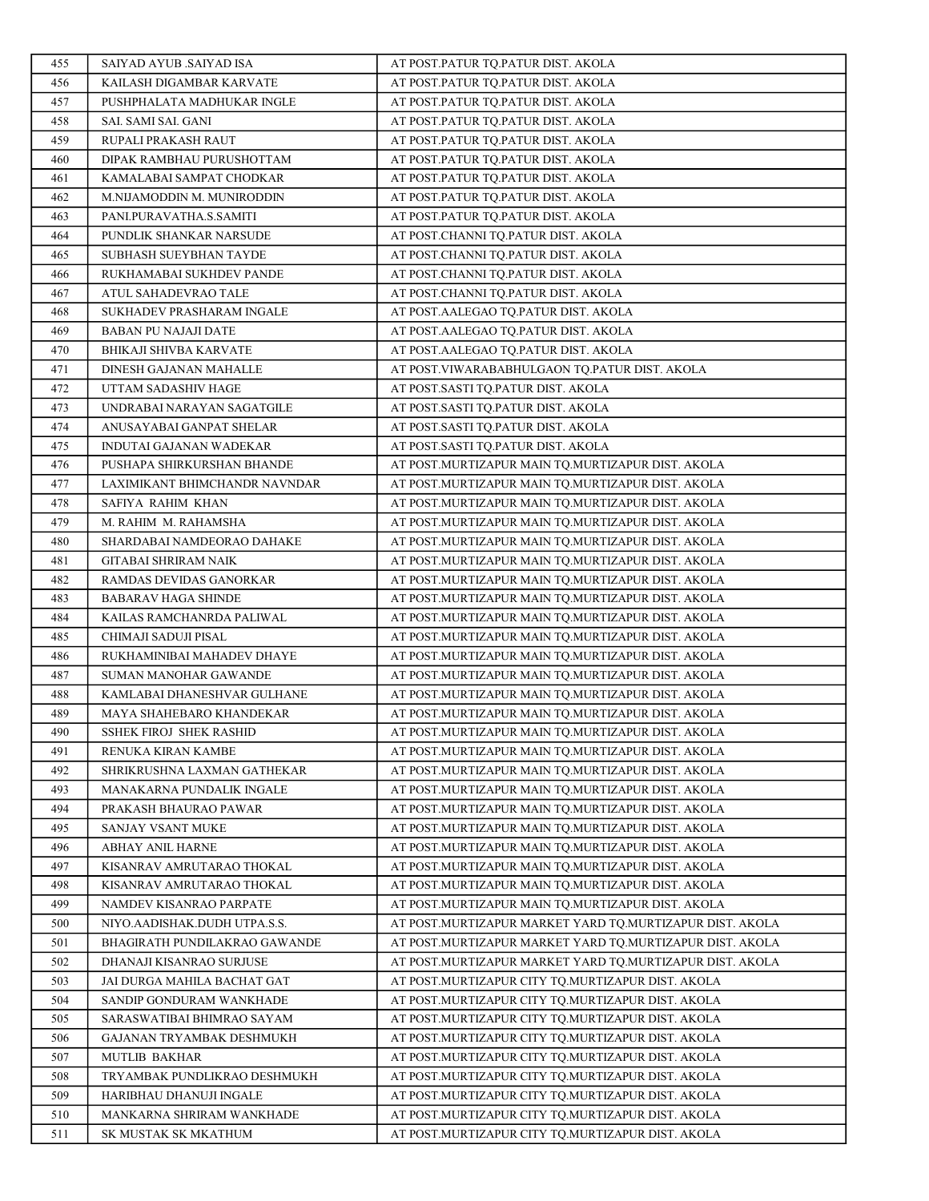| 455        | SAIYAD AYUB .SAIYAD ISA               | AT POST.PATUR TO.PATUR DIST. AKOLA                                                                     |
|------------|---------------------------------------|--------------------------------------------------------------------------------------------------------|
| 456        | KAILASH DIGAMBAR KARVATE              | AT POST.PATUR TO.PATUR DIST. AKOLA                                                                     |
| 457        | PUSHPHALATA MADHUKAR INGLE            | AT POST.PATUR TO.PATUR DIST. AKOLA                                                                     |
| 458        | SAI. SAMI SAI. GANI                   | AT POST.PATUR TQ.PATUR DIST. AKOLA                                                                     |
| 459        | RUPALI PRAKASH RAUT                   | AT POST.PATUR TQ.PATUR DIST. AKOLA                                                                     |
| 460        | DIPAK RAMBHAU PURUSHOTTAM             | AT POST.PATUR TQ.PATUR DIST. AKOLA                                                                     |
| 461        | KAMALABAI SAMPAT CHODKAR              | AT POST.PATUR TQ.PATUR DIST. AKOLA                                                                     |
| 462        | M.NIJAMODDIN M. MUNIRODDIN            | AT POST.PATUR TQ.PATUR DIST. AKOLA                                                                     |
| 463        | PANI.PURAVATHA.S.SAMITI               | AT POST.PATUR TQ.PATUR DIST. AKOLA                                                                     |
| 464        | PUNDLIK SHANKAR NARSUDE               | AT POST.CHANNI TQ.PATUR DIST. AKOLA                                                                    |
| 465        | SUBHASH SUEYBHAN TAYDE                | AT POST.CHANNI TQ.PATUR DIST. AKOLA                                                                    |
| 466        | RUKHAMABAI SUKHDEV PANDE              | AT POST.CHANNI TQ.PATUR DIST. AKOLA                                                                    |
| 467        | ATUL SAHADEVRAO TALE                  | AT POST.CHANNI TQ.PATUR DIST. AKOLA                                                                    |
| 468        | SUKHADEV PRASHARAM INGALE             | AT POST.AALEGAO TQ.PATUR DIST. AKOLA                                                                   |
| 469        | <b>BABAN PU NAJAJI DATE</b>           | AT POST.AALEGAO TQ.PATUR DIST. AKOLA                                                                   |
| 470        | BHIKAJI SHIVBA KARVATE                | AT POST.AALEGAO TO.PATUR DIST. AKOLA                                                                   |
| 471        | DINESH GAJANAN MAHALLE                | AT POST. VIWARABABHULGAON TQ.PATUR DIST. AKOLA                                                         |
| 472        | UTTAM SADASHIV HAGE                   | AT POST.SASTI TQ.PATUR DIST. AKOLA                                                                     |
| 473        | UNDRABAI NARAYAN SAGATGILE            | AT POST.SASTI TQ.PATUR DIST. AKOLA                                                                     |
| 474        | ANUSAYABAI GANPAT SHELAR              | AT POST.SASTI TQ.PATUR DIST. AKOLA                                                                     |
| 475        | INDUTAI GAJANAN WADEKAR               | AT POST.SASTI TQ.PATUR DIST. AKOLA                                                                     |
| 476        | PUSHAPA SHIRKURSHAN BHANDE            | AT POST.MURTIZAPUR MAIN TQ.MURTIZAPUR DIST. AKOLA                                                      |
| 477        | LAXIMIKANT BHIMCHANDR NAVNDAR         | AT POST.MURTIZAPUR MAIN TQ.MURTIZAPUR DIST. AKOLA                                                      |
| 478        | SAFIYA RAHIM KHAN                     | AT POST.MURTIZAPUR MAIN TQ.MURTIZAPUR DIST. AKOLA                                                      |
| 479        | M. RAHIM M. RAHAMSHA                  | AT POST.MURTIZAPUR MAIN TQ.MURTIZAPUR DIST. AKOLA                                                      |
| 480        | SHARDABAI NAMDEORAO DAHAKE            | AT POST.MURTIZAPUR MAIN TQ.MURTIZAPUR DIST. AKOLA                                                      |
| 481        | GITABAI SHRIRAM NAIK                  | AT POST.MURTIZAPUR MAIN TQ.MURTIZAPUR DIST. AKOLA                                                      |
| 482        | RAMDAS DEVIDAS GANORKAR               | AT POST.MURTIZAPUR MAIN TQ.MURTIZAPUR DIST. AKOLA                                                      |
| 483        | BABARAV HAGA SHINDE                   | AT POST.MURTIZAPUR MAIN TQ.MURTIZAPUR DIST. AKOLA                                                      |
| 484        | KAILAS RAMCHANRDA PALIWAL             | AT POST.MURTIZAPUR MAIN TQ.MURTIZAPUR DIST. AKOLA                                                      |
| 485        | CHIMAJI SADUJI PISAL                  | AT POST.MURTIZAPUR MAIN TQ.MURTIZAPUR DIST. AKOLA                                                      |
| 486        | RUKHAMINIBAI MAHADEV DHAYE            | AT POST.MURTIZAPUR MAIN TQ.MURTIZAPUR DIST. AKOLA                                                      |
| 487        | SUMAN MANOHAR GAWANDE                 | AT POST.MURTIZAPUR MAIN TQ.MURTIZAPUR DIST. AKOLA                                                      |
| 488        | KAMLABAI DHANESHVAR GULHANE           | AT POST.MURTIZAPUR MAIN TQ.MURTIZAPUR DIST. AKOLA                                                      |
| 489        | MAYA SHAHEBARO KHANDEKAR              | AT POST.MURTIZAPUR MAIN TQ.MURTIZAPUR DIST. AKOLA                                                      |
| 490        | SSHEK FIROJ SHEK RASHID               | AT POST.MURTIZAPUR MAIN TQ.MURTIZAPUR DIST. AKOLA                                                      |
| 491        | RENUKA KIRAN KAMBE                    | AT POST.MURTIZAPUR MAIN TQ.MURTIZAPUR DIST. AKOLA                                                      |
| 492        | SHRIKRUSHNA LAXMAN GATHEKAR           | AT POST.MURTIZAPUR MAIN TQ.MURTIZAPUR DIST. AKOLA                                                      |
| 493        | MANAKARNA PUNDALIK INGALE             | AT POST.MURTIZAPUR MAIN TQ.MURTIZAPUR DIST. AKOLA                                                      |
| 494<br>495 | PRAKASH BHAURAO PAWAR                 | AT POST.MURTIZAPUR MAIN TO.MURTIZAPUR DIST. AKOLA<br>AT POST.MURTIZAPUR MAIN TQ.MURTIZAPUR DIST. AKOLA |
| 496        | SANJAY VSANT MUKE<br>ABHAY ANIL HARNE | AT POST.MURTIZAPUR MAIN TQ.MURTIZAPUR DIST. AKOLA                                                      |
| 497        | KISANRAV AMRUTARAO THOKAL             | AT POST.MURTIZAPUR MAIN TQ.MURTIZAPUR DIST. AKOLA                                                      |
| 498        | KISANRAV AMRUTARAO THOKAL             | AT POST.MURTIZAPUR MAIN TQ.MURTIZAPUR DIST. AKOLA                                                      |
| 499        | NAMDEV KISANRAO PARPATE               | AT POST.MURTIZAPUR MAIN TO.MURTIZAPUR DIST. AKOLA                                                      |
| 500        | NIYO.AADISHAK.DUDH UTPA.S.S.          | AT POST.MURTIZAPUR MARKET YARD TO.MURTIZAPUR DIST. AKOLA                                               |
| 501        | BHAGIRATH PUNDILAKRAO GAWANDE         | AT POST.MURTIZAPUR MARKET YARD TQ.MURTIZAPUR DIST. AKOLA                                               |
| 502        | DHANAJI KISANRAO SURJUSE              | AT POST.MURTIZAPUR MARKET YARD TQ.MURTIZAPUR DIST. AKOLA                                               |
| 503        | JAI DURGA MAHILA BACHAT GAT           | AT POST.MURTIZAPUR CITY TQ.MURTIZAPUR DIST. AKOLA                                                      |
| 504        | SANDIP GONDURAM WANKHADE              | AT POST.MURTIZAPUR CITY TQ.MURTIZAPUR DIST. AKOLA                                                      |
| 505        | SARASWATIBAI BHIMRAO SAYAM            | AT POST.MURTIZAPUR CITY TQ.MURTIZAPUR DIST. AKOLA                                                      |
| 506        | GAJANAN TRYAMBAK DESHMUKH             | AT POST.MURTIZAPUR CITY TQ.MURTIZAPUR DIST. AKOLA                                                      |
| 507        | <b>MUTLIB BAKHAR</b>                  | AT POST.MURTIZAPUR CITY TQ.MURTIZAPUR DIST. AKOLA                                                      |
| 508        | TRYAMBAK PUNDLIKRAO DESHMUKH          | AT POST.MURTIZAPUR CITY TQ.MURTIZAPUR DIST. AKOLA                                                      |
| 509        | HARIBHAU DHANUJI INGALE               | AT POST.MURTIZAPUR CITY TQ.MURTIZAPUR DIST. AKOLA                                                      |
| 510        | MANKARNA SHRIRAM WANKHADE             | AT POST.MURTIZAPUR CITY TQ.MURTIZAPUR DIST. AKOLA                                                      |
| 511        | SK MUSTAK SK MKATHUM                  | AT POST.MURTIZAPUR CITY TQ.MURTIZAPUR DIST. AKOLA                                                      |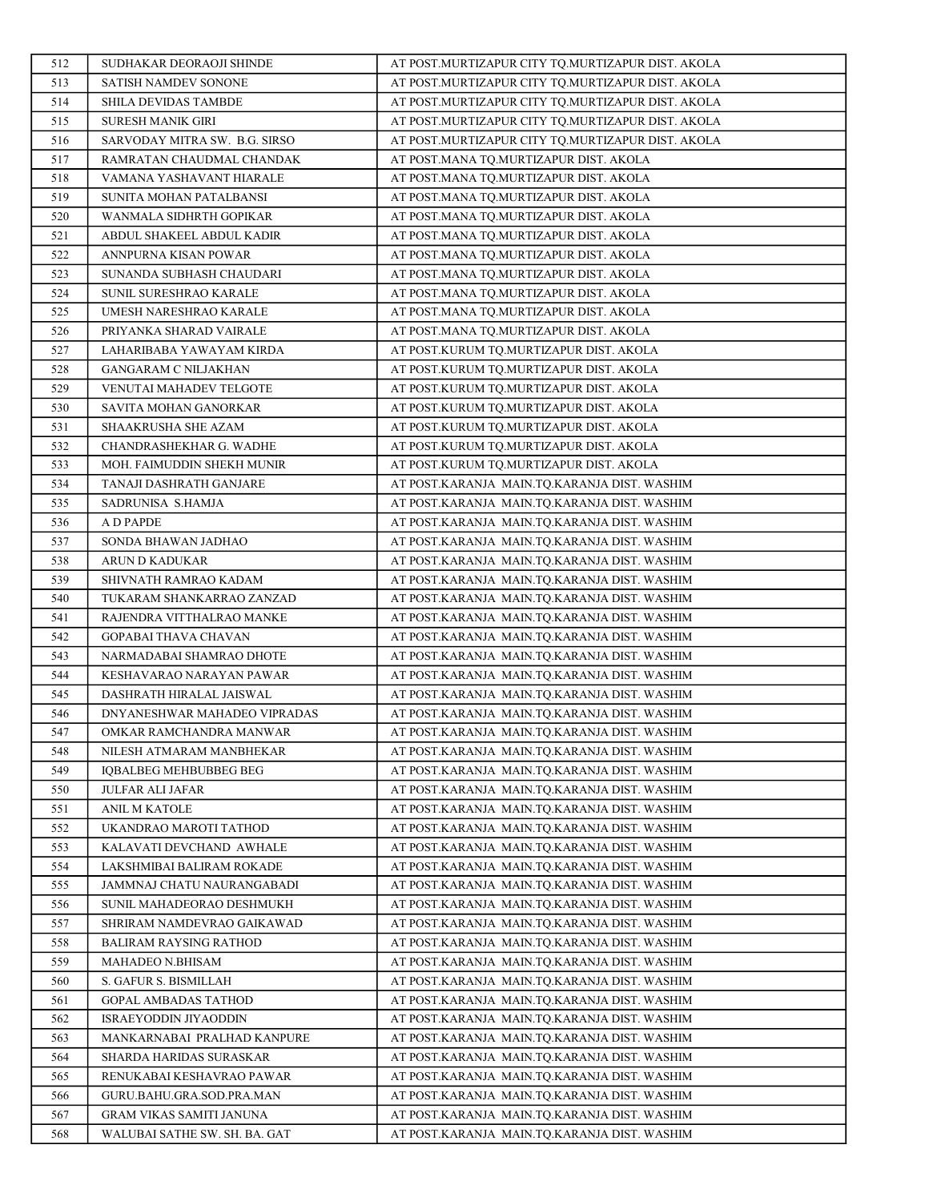| 512        | SUDHAKAR DEORAOJI SHINDE                                | AT POST.MURTIZAPUR CITY TQ.MURTIZAPUR DIST. AKOLA                                            |
|------------|---------------------------------------------------------|----------------------------------------------------------------------------------------------|
| 513        | SATISH NAMDEV SONONE                                    | AT POST.MURTIZAPUR CITY TQ.MURTIZAPUR DIST. AKOLA                                            |
| 514        | SHILA DEVIDAS TAMBDE                                    | AT POST.MURTIZAPUR CITY TQ.MURTIZAPUR DIST. AKOLA                                            |
| 515        | SURESH MANIK GIRI                                       | AT POST.MURTIZAPUR CITY TQ.MURTIZAPUR DIST. AKOLA                                            |
| 516        | SARVODAY MITRA SW. B.G. SIRSO                           | AT POST.MURTIZAPUR CITY TQ.MURTIZAPUR DIST. AKOLA                                            |
| 517        | RAMRATAN CHAUDMAL CHANDAK                               | AT POST.MANA TQ.MURTIZAPUR DIST. AKOLA                                                       |
| 518        | VAMANA YASHAVANT HIARALE                                | AT POST.MANA TQ.MURTIZAPUR DIST. AKOLA                                                       |
| 519        | SUNITA MOHAN PATALBANSI                                 | AT POST.MANA TQ.MURTIZAPUR DIST. AKOLA                                                       |
| 520        | WANMALA SIDHRTH GOPIKAR                                 | AT POST.MANA TQ.MURTIZAPUR DIST. AKOLA                                                       |
| 521        | ABDUL SHAKEEL ABDUL KADIR                               | AT POST.MANA TO.MURTIZAPUR DIST. AKOLA                                                       |
| 522        | ANNPURNA KISAN POWAR                                    | AT POST.MANA TQ.MURTIZAPUR DIST. AKOLA                                                       |
| 523        | SUNANDA SUBHASH CHAUDARI                                | AT POST.MANA TQ.MURTIZAPUR DIST. AKOLA                                                       |
| 524        | SUNIL SURESHRAO KARALE                                  | AT POST.MANA TQ.MURTIZAPUR DIST. AKOLA                                                       |
| 525        | UMESH NARESHRAO KARALE                                  | AT POST.MANA TQ.MURTIZAPUR DIST. AKOLA                                                       |
| 526        | PRIYANKA SHARAD VAIRALE                                 | AT POST.MANA TQ.MURTIZAPUR DIST. AKOLA                                                       |
| 527        | LAHARIBABA YAWAYAM KIRDA                                | AT POST.KURUM TQ.MURTIZAPUR DIST. AKOLA                                                      |
| 528        | <b>GANGARAM C NILJAKHAN</b>                             | AT POST.KURUM TQ.MURTIZAPUR DIST. AKOLA                                                      |
| 529        | VENUTAI MAHADEV TELGOTE                                 | AT POST.KURUM TQ.MURTIZAPUR DIST. AKOLA                                                      |
| 530        | SAVITA MOHAN GANORKAR                                   | AT POST.KURUM TQ.MURTIZAPUR DIST. AKOLA                                                      |
| 531        | SHAAKRUSHA SHE AZAM                                     | AT POST.KURUM TQ.MURTIZAPUR DIST. AKOLA                                                      |
| 532        | CHANDRASHEKHAR G. WADHE                                 | AT POST.KURUM TQ.MURTIZAPUR DIST. AKOLA                                                      |
| 533        | MOH. FAIMUDDIN SHEKH MUNIR                              | AT POST.KURUM TQ.MURTIZAPUR DIST. AKOLA                                                      |
| 534        | TANAJI DASHRATH GANJARE                                 | AT POST.KARANJA MAIN.TQ.KARANJA DIST. WASHIM                                                 |
| 535        | SADRUNISA S.HAMJA                                       | AT POST.KARANJA MAIN.TQ.KARANJA DIST. WASHIM                                                 |
| 536        | A D PAPDE                                               | AT POST.KARANJA MAIN.TQ.KARANJA DIST. WASHIM                                                 |
| 537        | SONDA BHAWAN JADHAO                                     | AT POST.KARANJA MAIN.TQ.KARANJA DIST. WASHIM                                                 |
| 538        | ARUN D KADUKAR                                          | AT POST.KARANJA MAIN.TQ.KARANJA DIST. WASHIM                                                 |
| 539        | SHIVNATH RAMRAO KADAM                                   | AT POST.KARANJA MAIN.TQ.KARANJA DIST. WASHIM                                                 |
| 540        | TUKARAM SHANKARRAO ZANZAD                               | AT POST.KARANJA MAIN.TQ.KARANJA DIST. WASHIM                                                 |
| 541        | RAJENDRA VITTHALRAO MANKE                               | AT POST.KARANJA MAIN.TQ.KARANJA DIST. WASHIM                                                 |
| 542        | GOPABAI THAVA CHAVAN                                    | AT POST.KARANJA MAIN.TQ.KARANJA DIST. WASHIM                                                 |
| 543        | NARMADABAI SHAMRAO DHOTE                                | AT POST.KARANJA MAIN.TQ.KARANJA DIST. WASHIM                                                 |
| 544        | KESHAVARAO NARAYAN PAWAR                                | AT POST.KARANJA MAIN.TQ.KARANJA DIST. WASHIM                                                 |
| 545        | DASHRATH HIRALAL JAISWAL                                | AT POST.KARANJA MAIN.TQ.KARANJA DIST. WASHIM                                                 |
| 546        | DNYANESHWAR MAHADEO VIPRADAS                            | AT POST.KARANJA MAIN.TQ.KARANJA DIST. WASHIM                                                 |
| 547        | OMKAR RAMCHANDRA MANWAR                                 | AT POST.KARANJA MAIN.TQ.KARANJA DIST. WASHIM                                                 |
| 548        | NILESH ATMARAM MANBHEKAR                                | AT POST.KARANJA MAIN.TQ.KARANJA DIST. WASHIM                                                 |
| 549        | <b>IOBALBEG MEHBUBBEG BEG</b>                           | AT POST.KARANJA MAIN.TQ.KARANJA DIST. WASHIM                                                 |
| 550        | JULFAR ALI JAFAR                                        | AT POST.KARANJA MAIN.TQ.KARANJA DIST. WASHIM                                                 |
| 551        | ANIL M KATOLE                                           | AT POST.KARANJA MAIN.TO.KARANJA DIST. WASHIM                                                 |
| 552        | UKANDRAO MAROTI TATHOD                                  | AT POST.KARANJA MAIN.TO.KARANJA DIST. WASHIM                                                 |
| 553        | KALAVATI DEVCHAND AWHALE                                | AT POST.KARANJA MAIN.TQ.KARANJA DIST. WASHIM                                                 |
| 554<br>555 | LAKSHMIBAI BALIRAM ROKADE<br>JAMMNAJ CHATU NAURANGABADI | AT POST.KARANJA MAIN.TQ.KARANJA DIST. WASHIM<br>AT POST.KARANJA MAIN.TQ.KARANJA DIST. WASHIM |
|            | SUNIL MAHADEORAO DESHMUKH                               |                                                                                              |
| 556<br>557 | SHRIRAM NAMDEVRAO GAIKAWAD                              | AT POST.KARANJA MAIN.TQ.KARANJA DIST. WASHIM<br>AT POST.KARANJA MAIN.TO.KARANJA DIST. WASHIM |
| 558        | BALIRAM RAYSING RATHOD                                  | AT POST.KARANJA MAIN.TQ.KARANJA DIST. WASHIM                                                 |
| 559        | MAHADEO N.BHISAM                                        | AT POST.KARANJA MAIN.TQ.KARANJA DIST. WASHIM                                                 |
| 560        | S. GAFUR S. BISMILLAH                                   | AT POST.KARANJA MAIN.TQ.KARANJA DIST. WASHIM                                                 |
| 561        | GOPAL AMBADAS TATHOD                                    | AT POST.KARANJA MAIN.TQ.KARANJA DIST. WASHIM                                                 |
| 562        | ISRAEYODDIN JIYAODDIN                                   | AT POST.KARANJA MAIN.TQ.KARANJA DIST. WASHIM                                                 |
| 563        | MANKARNABAI PRALHAD KANPURE                             | AT POST.KARANJA MAIN.TQ.KARANJA DIST. WASHIM                                                 |
| 564        | SHARDA HARIDAS SURASKAR                                 | AT POST.KARANJA MAIN.TQ.KARANJA DIST. WASHIM                                                 |
| 565        | RENUKABAI KESHAVRAO PAWAR                               | AT POST.KARANJA MAIN.TQ.KARANJA DIST. WASHIM                                                 |
| 566        | GURU.BAHU.GRA.SOD.PRA.MAN                               | AT POST.KARANJA MAIN.TQ.KARANJA DIST. WASHIM                                                 |
| 567        | GRAM VIKAS SAMITI JANUNA                                | AT POST.KARANJA MAIN.TQ.KARANJA DIST. WASHIM                                                 |
| 568        | WALUBAI SATHE SW. SH. BA. GAT                           | AT POST.KARANJA MAIN.TQ.KARANJA DIST. WASHIM                                                 |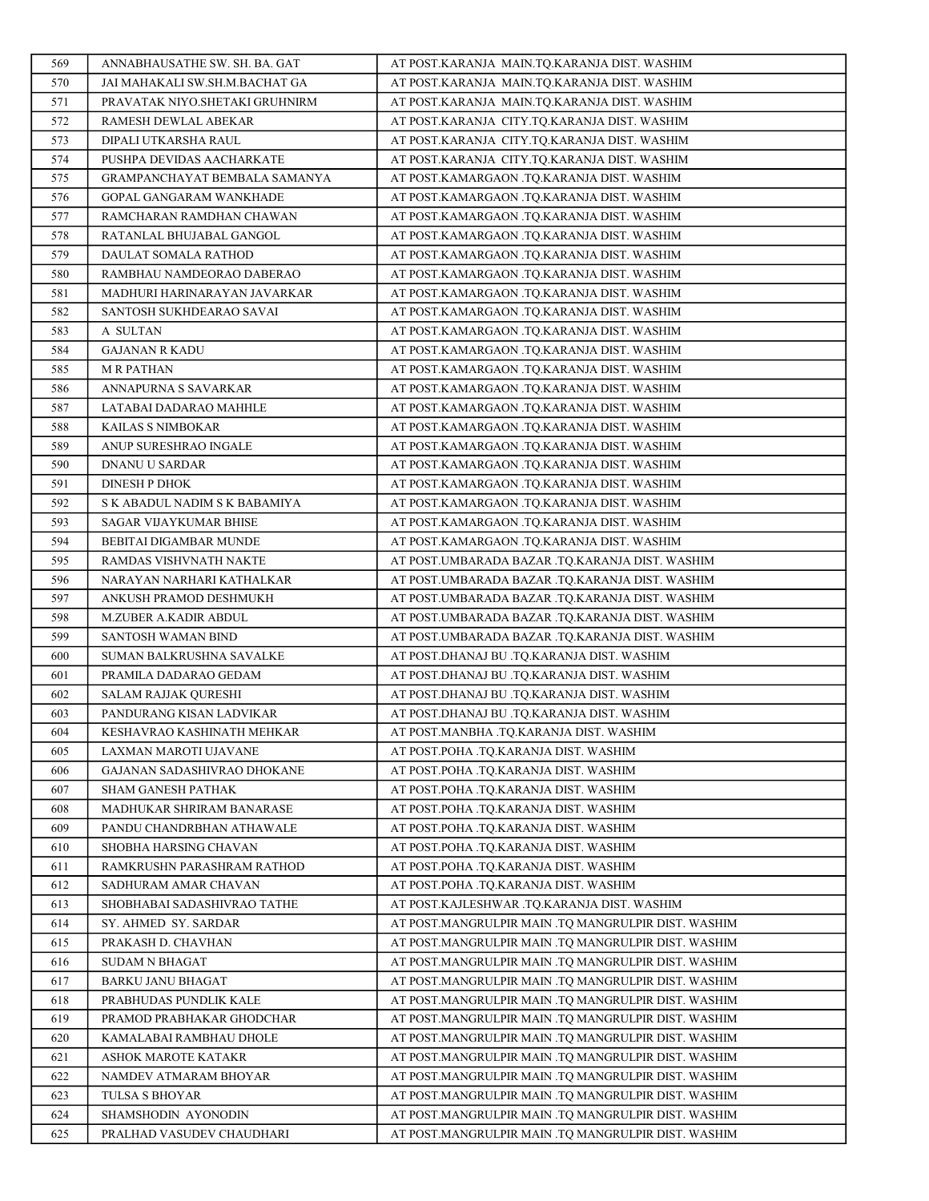| 569        | ANNABHAUSATHE SW. SH. BA. GAT               | AT POST.KARANJA MAIN.TQ.KARANJA DIST. WASHIM                                                       |
|------------|---------------------------------------------|----------------------------------------------------------------------------------------------------|
| 570        | JAI MAHAKALI SW.SH.M.BACHAT GA              | AT POST.KARANJA MAIN.TO.KARANJA DIST. WASHIM                                                       |
| 571        | PRAVATAK NIYO.SHETAKI GRUHNIRM              | AT POST.KARANJA MAIN.TQ.KARANJA DIST. WASHIM                                                       |
| 572        | RAMESH DEWLAL ABEKAR                        | AT POST.KARANJA CITY.TQ.KARANJA DIST. WASHIM                                                       |
| 573        | DIPALI UTKARSHA RAUL                        | AT POST.KARANJA CITY.TQ.KARANJA DIST. WASHIM                                                       |
| 574        | PUSHPA DEVIDAS AACHARKATE                   | AT POST.KARANJA CITY.TQ.KARANJA DIST. WASHIM                                                       |
| 575        | GRAMPANCHAYAT BEMBALA SAMANYA               | AT POST.KAMARGAON .TQ.KARANJA DIST. WASHIM                                                         |
| 576        | GOPAL GANGARAM WANKHADE                     | AT POST.KAMARGAON .TQ.KARANJA DIST. WASHIM                                                         |
| 577        | RAMCHARAN RAMDHAN CHAWAN                    | AT POST.KAMARGAON .TQ.KARANJA DIST. WASHIM                                                         |
| 578        | RATANLAL BHUJABAL GANGOL                    | AT POST.KAMARGAON .TQ.KARANJA DIST. WASHIM                                                         |
| 579        | DAULAT SOMALA RATHOD                        | AT POST.KAMARGAON .TQ.KARANJA DIST. WASHIM                                                         |
| 580        | RAMBHAU NAMDEORAO DABERAO                   | AT POST.KAMARGAON .TQ.KARANJA DIST. WASHIM                                                         |
| 581        | MADHURI HARINARAYAN JAVARKAR                | AT POST.KAMARGAON .TQ.KARANJA DIST. WASHIM                                                         |
| 582        | SANTOSH SUKHDEARAO SAVAI                    | AT POST.KAMARGAON .TQ.KARANJA DIST. WASHIM                                                         |
| 583        | A SULTAN                                    | AT POST.KAMARGAON .TQ.KARANJA DIST. WASHIM                                                         |
| 584        | <b>GAJANAN R KADU</b>                       | AT POST.KAMARGAON .TQ.KARANJA DIST. WASHIM                                                         |
| 585        | <b>MR PATHAN</b>                            | AT POST.KAMARGAON .TQ.KARANJA DIST. WASHIM                                                         |
| 586        | ANNAPURNA S SAVARKAR                        | AT POST.KAMARGAON .TQ.KARANJA DIST. WASHIM                                                         |
| 587        | LATABAI DADARAO MAHHLE                      | AT POST.KAMARGAON .TQ.KARANJA DIST. WASHIM                                                         |
| 588        | KAILAS S NIMBOKAR                           | AT POST.KAMARGAON .TQ.KARANJA DIST. WASHIM                                                         |
| 589        | ANUP SURESHRAO INGALE                       | AT POST.KAMARGAON .TQ.KARANJA DIST. WASHIM                                                         |
| 590        | DNANU U SARDAR                              | AT POST.KAMARGAON .TQ.KARANJA DIST. WASHIM                                                         |
| 591        | <b>DINESH P DHOK</b>                        | AT POST.KAMARGAON .TQ.KARANJA DIST. WASHIM                                                         |
| 592        | S K ABADUL NADIM S K BABAMIYA               | AT POST.KAMARGAON .TQ.KARANJA DIST. WASHIM                                                         |
| 593        | SAGAR VIJAYKUMAR BHISE                      | AT POST.KAMARGAON .TQ.KARANJA DIST. WASHIM                                                         |
| 594        | BEBITAI DIGAMBAR MUNDE                      | AT POST.KAMARGAON .TQ.KARANJA DIST. WASHIM                                                         |
| 595        | RAMDAS VISHVNATH NAKTE                      | AT POST.UMBARADA BAZAR .TQ.KARANJA DIST. WASHIM                                                    |
| 596        | NARAYAN NARHARI KATHALKAR                   | AT POST.UMBARADA BAZAR .TQ.KARANJA DIST. WASHIM                                                    |
| 597<br>598 | ANKUSH PRAMOD DESHMUKH                      | AT POST.UMBARADA BAZAR .TQ.KARANJA DIST. WASHIM                                                    |
| 599        | M.ZUBER A.KADIR ABDUL<br>SANTOSH WAMAN BIND | AT POST.UMBARADA BAZAR .TQ.KARANJA DIST. WASHIM<br>AT POST.UMBARADA BAZAR .TQ.KARANJA DIST. WASHIM |
| 600        | SUMAN BALKRUSHNA SAVALKE                    | AT POST.DHANAJ BU .TQ.KARANJA DIST. WASHIM                                                         |
| 601        | PRAMILA DADARAO GEDAM                       | AT POST.DHANAJ BU .TQ.KARANJA DIST. WASHIM                                                         |
| 602        | <b>SALAM RAJJAK QURESHI</b>                 | AT POST.DHANAJ BU .TQ.KARANJA DIST. WASHIM                                                         |
| 603        | PANDURANG KISAN LADVIKAR                    | AT POST.DHANAJ BU .TQ.KARANJA DIST. WASHIM                                                         |
| 604        | KESHAVRAO KASHINATH MEHKAR                  | AT POST.MANBHA .TQ.KARANJA DIST. WASHIM                                                            |
| 605        | LAXMAN MAROTI UJAVANE                       | AT POST.POHA .TO.KARANJA DIST. WASHIM                                                              |
| 606        | GAJANAN SADASHIVRAO DHOKANE                 | AT POST.POHA .TO.KARANJA DIST. WASHIM                                                              |
| 607        | SHAM GANESH PATHAK                          | AT POST.POHA .TQ.KARANJA DIST. WASHIM                                                              |
| 608        | MADHUKAR SHRIRAM BANARASE                   | AT POST.POHA .TO.KARANJA DIST. WASHIM                                                              |
| 609        | PANDU CHANDRBHAN ATHAWALE                   | AT POST.POHA .TQ.KARANJA DIST. WASHIM                                                              |
| 610        | SHOBHA HARSING CHAVAN                       | AT POST.POHA .TQ.KARANJA DIST. WASHIM                                                              |
| 611        | RAMKRUSHN PARASHRAM RATHOD                  | AT POST.POHA .TQ.KARANJA DIST. WASHIM                                                              |
| 612        | SADHURAM AMAR CHAVAN                        | AT POST.POHA .TQ.KARANJA DIST. WASHIM                                                              |
| 613        | SHOBHABAI SADASHIVRAO TATHE                 | AT POST.KAJLESHWAR .TO.KARANJA DIST. WASHIM                                                        |
| 614        | SY. AHMED SY. SARDAR                        | AT POST.MANGRULPIR MAIN .TQ MANGRULPIR DIST. WASHIM                                                |
| 615        | PRAKASH D. CHAVHAN                          | AT POST.MANGRULPIR MAIN .TQ MANGRULPIR DIST. WASHIM                                                |
| 616        | <b>SUDAM N BHAGAT</b>                       | AT POST.MANGRULPIR MAIN .TQ MANGRULPIR DIST. WASHIM                                                |
| 617        | <b>BARKU JANU BHAGAT</b>                    | AT POST.MANGRULPIR MAIN .TQ MANGRULPIR DIST. WASHIM                                                |
| 618        | PRABHUDAS PUNDLIK KALE                      | AT POST.MANGRULPIR MAIN .TQ MANGRULPIR DIST. WASHIM                                                |
| 619        | PRAMOD PRABHAKAR GHODCHAR                   | AT POST.MANGRULPIR MAIN .TQ MANGRULPIR DIST. WASHIM                                                |
| 620        | KAMALABAI RAMBHAU DHOLE                     | AT POST.MANGRULPIR MAIN .TQ MANGRULPIR DIST. WASHIM                                                |
| 621        | ASHOK MAROTE KATAKR                         | AT POST.MANGRULPIR MAIN .TQ MANGRULPIR DIST. WASHIM                                                |
| 622        | NAMDEV ATMARAM BHOYAR                       | AT POST.MANGRULPIR MAIN .TQ MANGRULPIR DIST. WASHIM                                                |
| 623        | TULSA S BHOYAR                              | AT POST.MANGRULPIR MAIN .TQ MANGRULPIR DIST. WASHIM                                                |
| 624        | SHAMSHODIN AYONODIN                         | AT POST.MANGRULPIR MAIN .TQ MANGRULPIR DIST. WASHIM                                                |
| 625        | PRALHAD VASUDEV CHAUDHARI                   | AT POST.MANGRULPIR MAIN .TQ MANGRULPIR DIST. WASHIM                                                |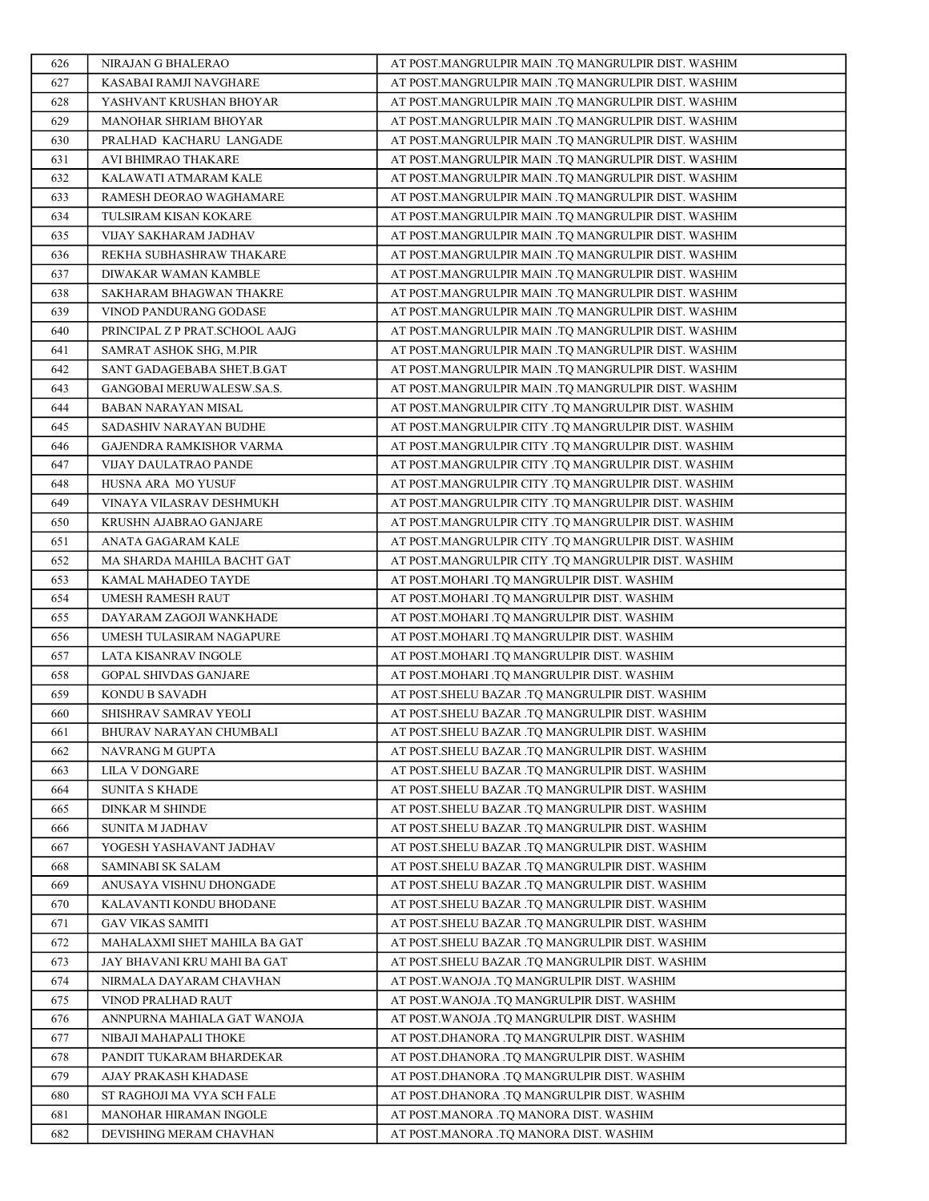| 626        | NIRAJAN G BHALERAO                               | AT POST.MANGRULPIR MAIN .TQ MANGRULPIR DIST. WASHIM                                                |
|------------|--------------------------------------------------|----------------------------------------------------------------------------------------------------|
| 627        | KASABAI RAMJI NAVGHARE                           | AT POST.MANGRULPIR MAIN .TQ MANGRULPIR DIST. WASHIM                                                |
| 628        | YASHVANT KRUSHAN BHOYAR                          | AT POST.MANGRULPIR MAIN .TQ MANGRULPIR DIST. WASHIM                                                |
| 629        | MANOHAR SHRIAM BHOYAR                            | AT POST.MANGRULPIR MAIN .TQ MANGRULPIR DIST. WASHIM                                                |
| 630        | PRALHAD KACHARU LANGADE                          | AT POST.MANGRULPIR MAIN .TO MANGRULPIR DIST. WASHIM                                                |
| 631        | AVI BHIMRAO THAKARE                              | AT POST.MANGRULPIR MAIN .TQ MANGRULPIR DIST. WASHIM                                                |
| 632        | KALAWATI ATMARAM KALE                            | AT POST.MANGRULPIR MAIN .TQ MANGRULPIR DIST. WASHIM                                                |
| 633        | RAMESH DEORAO WAGHAMARE                          | AT POST.MANGRULPIR MAIN .TQ MANGRULPIR DIST. WASHIM                                                |
| 634        | TULSIRAM KISAN KOKARE                            | AT POST.MANGRULPIR MAIN .TQ MANGRULPIR DIST. WASHIM                                                |
| 635        | VIJAY SAKHARAM JADHAV                            | AT POST.MANGRULPIR MAIN .TQ MANGRULPIR DIST. WASHIM                                                |
| 636        | REKHA SUBHASHRAW THAKARE                         | AT POST.MANGRULPIR MAIN .TQ MANGRULPIR DIST. WASHIM                                                |
| 637        | DIWAKAR WAMAN KAMBLE                             | AT POST.MANGRULPIR MAIN .TQ MANGRULPIR DIST. WASHIM                                                |
| 638        | SAKHARAM BHAGWAN THAKRE                          | AT POST.MANGRULPIR MAIN .TQ MANGRULPIR DIST. WASHIM                                                |
| 639        | VINOD PANDURANG GODASE                           | AT POST.MANGRULPIR MAIN .TQ MANGRULPIR DIST. WASHIM                                                |
| 640        | PRINCIPAL Z P PRAT.SCHOOL AAJG                   | AT POST.MANGRULPIR MAIN .TQ MANGRULPIR DIST. WASHIM                                                |
| 641        | SAMRAT ASHOK SHG, M.PIR                          | AT POST.MANGRULPIR MAIN .TQ MANGRULPIR DIST. WASHIM                                                |
| 642        | SANT GADAGEBABA SHET.B.GAT                       | AT POST.MANGRULPIR MAIN .TQ MANGRULPIR DIST. WASHIM                                                |
| 643        | GANGOBAI MERUWALESW.SA.S.                        | AT POST.MANGRULPIR MAIN .TQ MANGRULPIR DIST. WASHIM                                                |
| 644        | BABAN NARAYAN MISAL                              | AT POST.MANGRULPIR CITY .TQ MANGRULPIR DIST. WASHIM                                                |
| 645        | SADASHIV NARAYAN BUDHE                           | AT POST.MANGRULPIR CITY .TQ MANGRULPIR DIST. WASHIM                                                |
| 646        | GAJENDRA RAMKISHOR VARMA                         | AT POST.MANGRULPIR CITY .TQ MANGRULPIR DIST. WASHIM                                                |
| 647        | VIJAY DAULATRAO PANDE                            | AT POST.MANGRULPIR CITY .TQ MANGRULPIR DIST. WASHIM                                                |
| 648        | HUSNA ARA MO YUSUF                               | AT POST.MANGRULPIR CITY .TQ MANGRULPIR DIST. WASHIM                                                |
| 649        | VINAYA VILASRAV DESHMUKH                         | AT POST.MANGRULPIR CITY .TQ MANGRULPIR DIST. WASHIM                                                |
| 650        | KRUSHN AJABRAO GANJARE                           | AT POST.MANGRULPIR CITY .TQ MANGRULPIR DIST. WASHIM                                                |
| 651        | ANATA GAGARAM KALE                               | AT POST.MANGRULPIR CITY .TQ MANGRULPIR DIST. WASHIM                                                |
| 652        | MA SHARDA MAHILA BACHT GAT                       | AT POST.MANGRULPIR CITY .TQ MANGRULPIR DIST. WASHIM                                                |
| 653        | KAMAL MAHADEO TAYDE                              | AT POST.MOHARI .TQ MANGRULPIR DIST. WASHIM                                                         |
| 654        | UMESH RAMESH RAUT                                | AT POST.MOHARI .TQ MANGRULPIR DIST. WASHIM                                                         |
| 655        | DAYARAM ZAGOJI WANKHADE                          | AT POST.MOHARI .TQ MANGRULPIR DIST. WASHIM                                                         |
| 656        | UMESH TULASIRAM NAGAPURE                         | AT POST.MOHARI .TQ MANGRULPIR DIST. WASHIM                                                         |
| 657        | LATA KISANRAV INGOLE                             | AT POST.MOHARI .TQ MANGRULPIR DIST. WASHIM                                                         |
| 658        | <b>GOPAL SHIVDAS GANJARE</b>                     | AT POST.MOHARI .TQ MANGRULPIR DIST. WASHIM                                                         |
| 659        | KONDU B SAVADH                                   | AT POST.SHELU BAZAR .TQ MANGRULPIR DIST. WASHIM<br>AT POST.SHELU BAZAR .TQ MANGRULPIR DIST. WASHIM |
| 660<br>661 | SHISHRAV SAMRAV YEOLI<br>BHURAV NARAYAN CHUMBALI | AT POST.SHELU BAZAR .TQ MANGRULPIR DIST. WASHIM                                                    |
| 662        | NAVRANG M GUPTA                                  | AT POST.SHELU BAZAR .TO MANGRULPIR DIST. WASHIM                                                    |
| 663        | LILA V DONGARE                                   | AT POST.SHELU BAZAR .TQ MANGRULPIR DIST. WASHIM                                                    |
| 664        | <b>SUNITA S KHADE</b>                            | AT POST.SHELU BAZAR .TQ MANGRULPIR DIST. WASHIM                                                    |
| 665        | <b>DINKAR M SHINDE</b>                           | AT POST.SHELU BAZAR .TQ MANGRULPIR DIST. WASHIM                                                    |
| 666        | SUNITA M JADHAV                                  | AT POST.SHELU BAZAR .TQ MANGRULPIR DIST. WASHIM                                                    |
| 667        | YOGESH YASHAVANT JADHAV                          | AT POST.SHELU BAZAR .TQ MANGRULPIR DIST. WASHIM                                                    |
| 668        | SAMINABI SK SALAM                                | AT POST.SHELU BAZAR .TQ MANGRULPIR DIST. WASHIM                                                    |
| 669        | ANUSAYA VISHNU DHONGADE                          | AT POST.SHELU BAZAR .TQ MANGRULPIR DIST. WASHIM                                                    |
| 670        | KALAVANTI KONDU BHODANE                          | AT POST.SHELU BAZAR .TQ MANGRULPIR DIST. WASHIM                                                    |
| 671        | <b>GAV VIKAS SAMITI</b>                          | AT POST.SHELU BAZAR .TQ MANGRULPIR DIST. WASHIM                                                    |
| 672        | MAHALAXMI SHET MAHILA BA GAT                     | AT POST.SHELU BAZAR .TQ MANGRULPIR DIST. WASHIM                                                    |
| 673        | JAY BHAVANI KRU MAHI BA GAT                      | AT POST.SHELU BAZAR .TQ MANGRULPIR DIST. WASHIM                                                    |
| 674        | NIRMALA DAYARAM CHAVHAN                          | AT POST.WANOJA .TQ MANGRULPIR DIST. WASHIM                                                         |
| 675        | VINOD PRALHAD RAUT                               | AT POST.WANOJA .TQ MANGRULPIR DIST. WASHIM                                                         |
| 676        | ANNPURNA MAHIALA GAT WANOJA                      | AT POST.WANOJA .TQ MANGRULPIR DIST. WASHIM                                                         |
| 677        | NIBAJI MAHAPALI THOKE                            | AT POST.DHANORA .TQ MANGRULPIR DIST. WASHIM                                                        |
| 678        | PANDIT TUKARAM BHARDEKAR                         | AT POST.DHANORA .TQ MANGRULPIR DIST. WASHIM                                                        |
| 679        | AJAY PRAKASH KHADASE                             | AT POST.DHANORA .TQ MANGRULPIR DIST. WASHIM                                                        |
| 680        | ST RAGHOJI MA VYA SCH FALE                       | AT POST.DHANORA .TQ MANGRULPIR DIST. WASHIM                                                        |
| 681        | MANOHAR HIRAMAN INGOLE                           | AT POST.MANORA .TQ MANORA DIST. WASHIM                                                             |
| 682        | DEVISHING MERAM CHAVHAN                          | AT POST.MANORA .TQ MANORA DIST. WASHIM                                                             |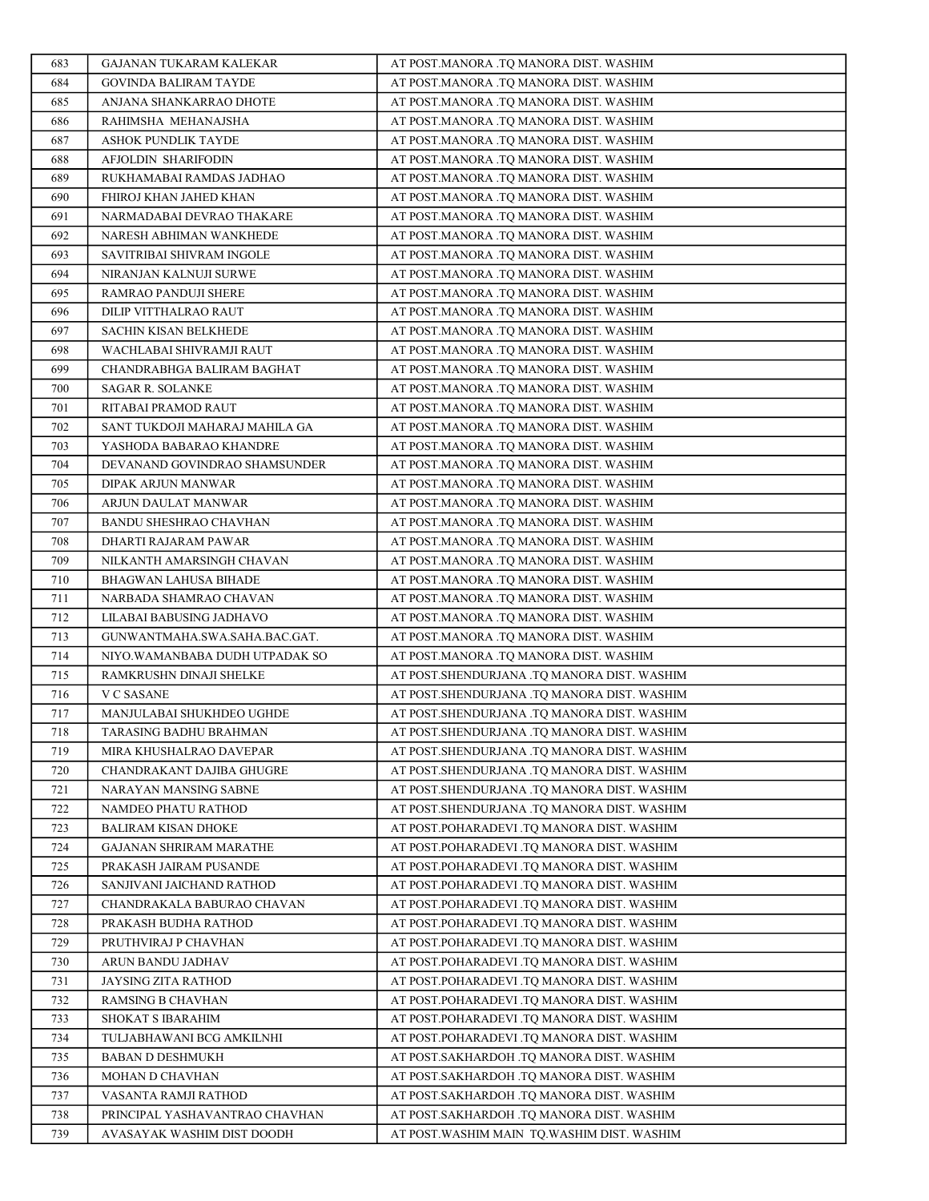| 683        | GAJANAN TUKARAM KALEKAR                            | AT POST.MANORA .TQ MANORA DIST. WASHIM                                                     |
|------------|----------------------------------------------------|--------------------------------------------------------------------------------------------|
| 684        | <b>GOVINDA BALIRAM TAYDE</b>                       | AT POST.MANORA .TQ MANORA DIST. WASHIM                                                     |
| 685        | ANJANA SHANKARRAO DHOTE                            | AT POST.MANORA .TQ MANORA DIST. WASHIM                                                     |
| 686        | RAHIMSHA MEHANAJSHA                                | AT POST.MANORA .TQ MANORA DIST. WASHIM                                                     |
| 687        | ASHOK PUNDLIK TAYDE                                | AT POST.MANORA .TQ MANORA DIST. WASHIM                                                     |
| 688        | AFJOLDIN SHARIFODIN                                | AT POST.MANORA .TQ MANORA DIST. WASHIM                                                     |
| 689        | RUKHAMABAI RAMDAS JADHAO                           | AT POST.MANORA .TQ MANORA DIST. WASHIM                                                     |
| 690        | FHIROJ KHAN JAHED KHAN                             | AT POST.MANORA .TQ MANORA DIST. WASHIM                                                     |
| 691        | NARMADABAI DEVRAO THAKARE                          | AT POST.MANORA .TQ MANORA DIST. WASHIM                                                     |
| 692        | NARESH ABHIMAN WANKHEDE                            | AT POST.MANORA .TO MANORA DIST. WASHIM                                                     |
| 693        | SAVITRIBAI SHIVRAM INGOLE                          | AT POST.MANORA .TQ MANORA DIST. WASHIM                                                     |
| 694        | NIRANJAN KALNUJI SURWE                             | AT POST.MANORA .TQ MANORA DIST. WASHIM                                                     |
| 695        | RAMRAO PANDUJI SHERE                               | AT POST.MANORA .TQ MANORA DIST. WASHIM                                                     |
| 696        | DILIP VITTHALRAO RAUT                              | AT POST.MANORA .TQ MANORA DIST. WASHIM                                                     |
| 697        | <b>SACHIN KISAN BELKHEDE</b>                       | AT POST.MANORA .TQ MANORA DIST. WASHIM                                                     |
| 698        | WACHLABAI SHIVRAMJI RAUT                           | AT POST.MANORA .TQ MANORA DIST. WASHIM                                                     |
| 699        | CHANDRABHGA BALIRAM BAGHAT                         | AT POST.MANORA .TQ MANORA DIST. WASHIM                                                     |
| 700        | <b>SAGAR R. SOLANKE</b>                            | AT POST.MANORA .TQ MANORA DIST. WASHIM                                                     |
| 701        | RITABAI PRAMOD RAUT                                | AT POST.MANORA .TQ MANORA DIST. WASHIM                                                     |
| 702        | SANT TUKDOJI MAHARAJ MAHILA GA                     | AT POST.MANORA .TQ MANORA DIST. WASHIM                                                     |
| 703        | YASHODA BABARAO KHANDRE                            | AT POST.MANORA .TQ MANORA DIST. WASHIM                                                     |
| 704        | DEVANAND GOVINDRAO SHAMSUNDER                      | AT POST.MANORA .TQ MANORA DIST. WASHIM                                                     |
| 705        | DIPAK ARJUN MANWAR                                 | AT POST.MANORA .TO MANORA DIST. WASHIM                                                     |
| 706        | ARJUN DAULAT MANWAR                                | AT POST.MANORA .TQ MANORA DIST. WASHIM                                                     |
| 707        | BANDU SHESHRAO CHAVHAN                             | AT POST.MANORA .TQ MANORA DIST. WASHIM                                                     |
| 708        | DHARTI RAJARAM PAWAR                               | AT POST.MANORA .TQ MANORA DIST. WASHIM                                                     |
| 709        | NILKANTH AMARSINGH CHAVAN                          | AT POST.MANORA .TQ MANORA DIST. WASHIM                                                     |
| 710        | BHAGWAN LAHUSA BIHADE                              | AT POST.MANORA .TQ MANORA DIST. WASHIM                                                     |
| 711        | NARBADA SHAMRAO CHAVAN                             | AT POST.MANORA .TQ MANORA DIST. WASHIM                                                     |
| 712        | LILABAI BABUSING JADHAVO                           | AT POST.MANORA .TQ MANORA DIST. WASHIM                                                     |
| 713        | GUNWANTMAHA.SWA.SAHA.BAC.GAT.                      | AT POST.MANORA .TQ MANORA DIST. WASHIM                                                     |
| 714        | NIYO.WAMANBABA DUDH UTPADAK SO                     | AT POST.MANORA .TQ MANORA DIST. WASHIM                                                     |
| 715        | RAMKRUSHN DINAJI SHELKE                            | AT POST.SHENDURJANA .TO MANORA DIST. WASHIM                                                |
| 716        | V C SASANE                                         | AT POST.SHENDURJANA .TQ MANORA DIST. WASHIM                                                |
| 717        | MANJULABAI SHUKHDEO UGHDE                          | AT POST.SHENDURJANA .TQ MANORA DIST. WASHIM                                                |
| 718        | TARASING BADHU BRAHMAN                             | AT POST.SHENDURJANA .TQ MANORA DIST. WASHIM                                                |
| 719        | MIRA KHUSHALRAO DAVEPAR                            | AT POST.SHENDURJANA .TQ MANORA DIST. WASHIM                                                |
| 720<br>721 | CHANDRAKANT DAJIBA GHUGRE<br>NARAYAN MANSING SABNE | AT POST.SHENDURJANA .TQ MANORA DIST. WASHIM<br>AT POST.SHENDURJANA .TO MANORA DIST. WASHIM |
| 722        | NAMDEO PHATU RATHOD                                | AT POST.SHENDURJANA .TQ MANORA DIST. WASHIM                                                |
| 723        | BALIRAM KISAN DHOKE                                | AT POST.POHARADEVI .TQ MANORA DIST. WASHIM                                                 |
| 724        | <b>GAJANAN SHRIRAM MARATHE</b>                     | AT POST.POHARADEVI .TQ MANORA DIST. WASHIM                                                 |
| 725        | PRAKASH JAIRAM PUSANDE                             | AT POST.POHARADEVI .TO MANORA DIST. WASHIM                                                 |
| 726        | SANJIVANI JAICHAND RATHOD                          | AT POST.POHARADEVI .TQ MANORA DIST. WASHIM                                                 |
| 727        | CHANDRAKALA BABURAO CHAVAN                         | AT POST.POHARADEVI .TO MANORA DIST. WASHIM                                                 |
| 728        | PRAKASH BUDHA RATHOD                               | AT POST.POHARADEVI .TQ MANORA DIST. WASHIM                                                 |
| 729        | PRUTHVIRAJ P CHAVHAN                               | AT POST.POHARADEVI .TQ MANORA DIST. WASHIM                                                 |
| 730        | ARUN BANDU JADHAV                                  | AT POST.POHARADEVI .TQ MANORA DIST. WASHIM                                                 |
| 731        | JAYSING ZITA RATHOD                                | AT POST.POHARADEVI .TQ MANORA DIST. WASHIM                                                 |
| 732        | RAMSING B CHAVHAN                                  | AT POST.POHARADEVI .TQ MANORA DIST. WASHIM                                                 |
| 733        | SHOKAT S IBARAHIM                                  | AT POST.POHARADEVI .TQ MANORA DIST. WASHIM                                                 |
| 734        | TULJABHAWANI BCG AMKILNHI                          | AT POST.POHARADEVI .TQ MANORA DIST. WASHIM                                                 |
| 735        | <b>BABAN D DESHMUKH</b>                            | AT POST.SAKHARDOH .TQ MANORA DIST. WASHIM                                                  |
| 736        | MOHAN D CHAVHAN                                    | AT POST.SAKHARDOH .TQ MANORA DIST. WASHIM                                                  |
| 737        | VASANTA RAMJI RATHOD                               | AT POST.SAKHARDOH .TQ MANORA DIST. WASHIM                                                  |
| 738        | PRINCIPAL YASHAVANTRAO CHAVHAN                     | AT POST.SAKHARDOH .TQ MANORA DIST. WASHIM                                                  |
| 739        | AVASAYAK WASHIM DIST DOODH                         | AT POST. WASHIM MAIN TQ. WASHIM DIST. WASHIM                                               |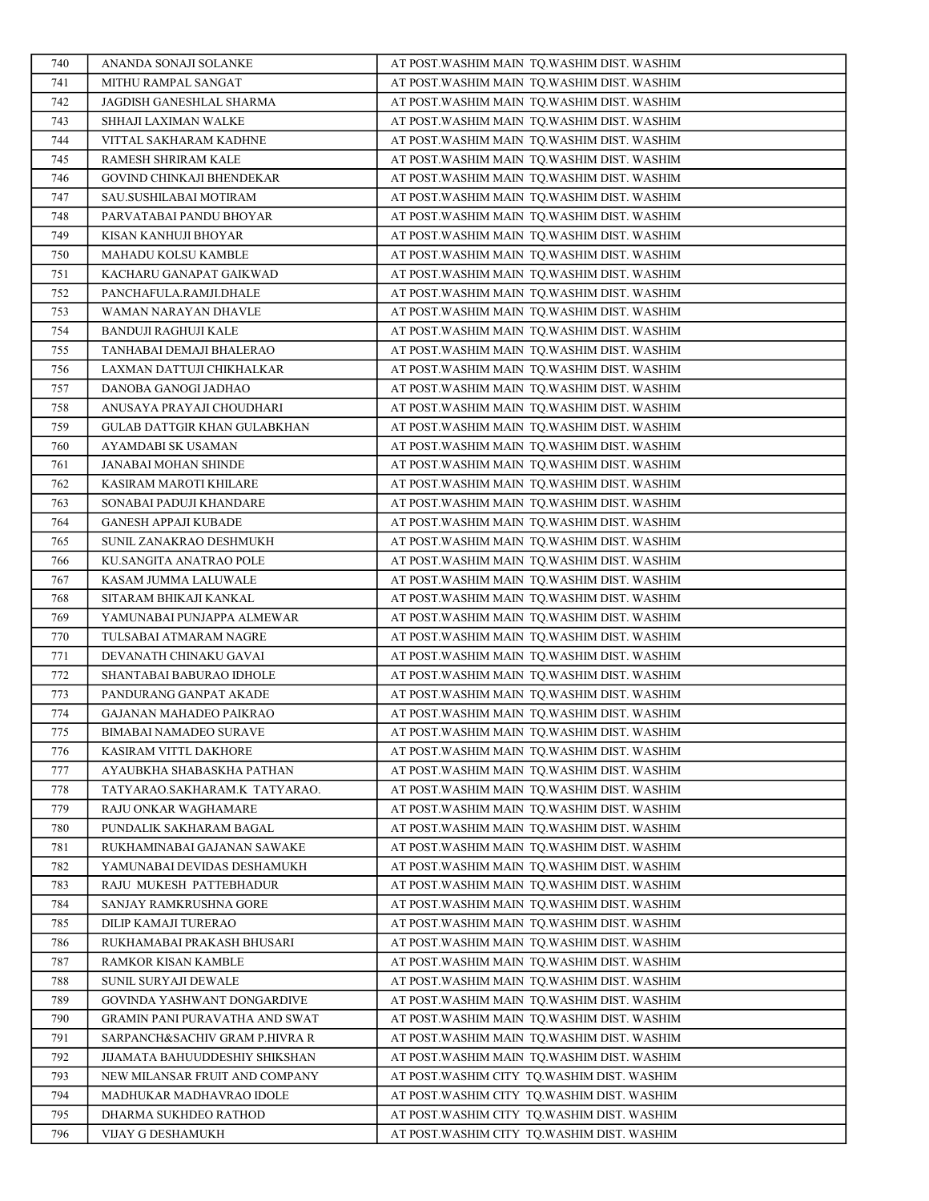| 740        | ANANDA SONAJI SOLANKE                                    | AT POST. WASHIM MAIN TQ. WASHIM DIST. WASHIM                                                 |
|------------|----------------------------------------------------------|----------------------------------------------------------------------------------------------|
| 741        | MITHU RAMPAL SANGAT                                      | AT POST. WASHIM MAIN TO. WASHIM DIST. WASHIM                                                 |
| 742        | JAGDISH GANESHLAL SHARMA                                 | AT POST.WASHIM MAIN TQ.WASHIM DIST. WASHIM                                                   |
| 743        | SHHAJI LAXIMAN WALKE                                     | AT POST.WASHIM MAIN  TQ.WASHIM DIST. WASHIM                                                  |
| 744        | VITTAL SAKHARAM KADHNE                                   | AT POST. WASHIM MAIN TQ. WASHIM DIST. WASHIM                                                 |
| 745        | RAMESH SHRIRAM KALE                                      | AT POST.WASHIM MAIN  TQ.WASHIM DIST. WASHIM                                                  |
| 746        | GOVIND CHINKAJI BHENDEKAR                                | AT POST.WASHIM MAIN  TQ.WASHIM DIST. WASHIM                                                  |
| 747        | SAU.SUSHILABAI MOTIRAM                                   | AT POST.WASHIM MAIN TQ.WASHIM DIST. WASHIM                                                   |
| 748        | PARVATABAI PANDU BHOYAR                                  | AT POST. WASHIM MAIN TQ. WASHIM DIST. WASHIM                                                 |
| 749        | KISAN KANHUJI BHOYAR                                     | AT POST.WASHIM MAIN TQ.WASHIM DIST. WASHIM                                                   |
| 750        | MAHADU KOLSU KAMBLE                                      | AT POST.WASHIM MAIN  TQ.WASHIM DIST. WASHIM                                                  |
| 751        | KACHARU GANAPAT GAIKWAD                                  | AT POST. WASHIM MAIN TQ. WASHIM DIST. WASHIM                                                 |
| 752        | PANCHAFULA.RAMJI.DHALE                                   | AT POST. WASHIM MAIN TQ. WASHIM DIST. WASHIM                                                 |
| 753        | WAMAN NARAYAN DHAVLE                                     | AT POST. WASHIM MAIN TQ. WASHIM DIST. WASHIM                                                 |
| 754        | <b>BANDUJI RAGHUJI KALE</b>                              | AT POST. WASHIM MAIN TQ. WASHIM DIST. WASHIM                                                 |
| 755        | TANHABAI DEMAJI BHALERAO                                 | AT POST. WASHIM MAIN TQ. WASHIM DIST. WASHIM                                                 |
| 756        | LAXMAN DATTUJI CHIKHALKAR                                | AT POST. WASHIM MAIN TQ. WASHIM DIST. WASHIM                                                 |
| 757        | DANOBA GANOGI JADHAO                                     | AT POST.WASHIM MAIN TQ.WASHIM DIST. WASHIM                                                   |
| 758        | ANUSAYA PRAYAJI CHOUDHARI                                | AT POST. WASHIM MAIN TQ. WASHIM DIST. WASHIM                                                 |
| 759        | GULAB DATTGIR KHAN GULABKHAN                             | AT POST. WASHIM MAIN TQ. WASHIM DIST. WASHIM                                                 |
| 760        | AYAMDABI SK USAMAN                                       | AT POST. WASHIM MAIN TQ. WASHIM DIST. WASHIM                                                 |
| 761        | JANABAI MOHAN SHINDE                                     | AT POST.WASHIM MAIN TQ.WASHIM DIST. WASHIM                                                   |
| 762        | KASIRAM MAROTI KHILARE                                   | AT POST. WASHIM MAIN TQ. WASHIM DIST. WASHIM                                                 |
| 763        | SONABAI PADUJI KHANDARE                                  | AT POST.WASHIM MAIN  TQ.WASHIM DIST. WASHIM                                                  |
| 764        | <b>GANESH APPAJI KUBADE</b>                              | AT POST. WASHIM MAIN TQ. WASHIM DIST. WASHIM                                                 |
| 765        | SUNIL ZANAKRAO DESHMUKH                                  | AT POST.WASHIM MAIN TQ.WASHIM DIST. WASHIM                                                   |
| 766        | KU.SANGITA ANATRAO POLE                                  | AT POST.WASHIM MAIN  TQ.WASHIM DIST. WASHIM                                                  |
| 767        | KASAM JUMMA LALUWALE                                     | AT POST.WASHIM MAIN TQ.WASHIM DIST. WASHIM                                                   |
| 768        | SITARAM BHIKAJI KANKAL                                   | AT POST.WASHIM MAIN  TQ.WASHIM DIST. WASHIM                                                  |
| 769        | YAMUNABAI PUNJAPPA ALMEWAR                               | AT POST. WASHIM MAIN TQ. WASHIM DIST. WASHIM                                                 |
| 770        | TULSABAI ATMARAM NAGRE                                   | AT POST.WASHIM MAIN  TQ.WASHIM DIST. WASHIM                                                  |
| 771        | DEVANATH CHINAKU GAVAI                                   | AT POST.WASHIM MAIN TQ.WASHIM DIST. WASHIM                                                   |
| 772        | SHANTABAI BABURAO IDHOLE                                 | AT POST.WASHIM MAIN TQ.WASHIM DIST. WASHIM                                                   |
| 773<br>774 | PANDURANG GANPAT AKADE                                   | AT POST.WASHIM MAIN  TQ.WASHIM DIST. WASHIM                                                  |
| 775        | GAJANAN MAHADEO PAIKRAO<br><b>BIMABAI NAMADEO SURAVE</b> | AT POST. WASHIM MAIN TQ. WASHIM DIST. WASHIM<br>AT POST. WASHIM MAIN TQ. WASHIM DIST. WASHIM |
| 776        | KASIRAM VITTL DAKHORE                                    | AT POST.WASHIM MAIN TO.WASHIM DIST. WASHIM                                                   |
| 777        | AYAUBKHA SHABASKHA PATHAN                                | AT POST.WASHIM MAIN TQ.WASHIM DIST. WASHIM                                                   |
| 778        | TATYARAO.SAKHARAM.K TATYARAO.                            | AT POST.WASHIM MAIN  TQ.WASHIM DIST. WASHIM                                                  |
| 779        | RAJU ONKAR WAGHAMARE                                     | AT POST. WASHIM MAIN TO. WASHIM DIST. WASHIM                                                 |
| 780        | PUNDALIK SAKHARAM BAGAL                                  | AT POST.WASHIM MAIN  TQ.WASHIM DIST. WASHIM                                                  |
| 781        | RUKHAMINABAI GAJANAN SAWAKE                              | AT POST. WASHIM MAIN TO. WASHIM DIST. WASHIM                                                 |
| 782        | YAMUNABAI DEVIDAS DESHAMUKH                              | AT POST.WASHIM MAIN TQ.WASHIM DIST. WASHIM                                                   |
| 783        | RAJU MUKESH PATTEBHADUR                                  | AT POST.WASHIM MAIN  TQ.WASHIM DIST. WASHIM                                                  |
| 784        | SANJAY RAMKRUSHNA GORE                                   | AT POST. WASHIM MAIN TQ. WASHIM DIST. WASHIM                                                 |
| 785        | DILIP KAMAJI TURERAO                                     | AT POST. WASHIM MAIN TQ. WASHIM DIST. WASHIM                                                 |
| 786        | RUKHAMABAI PRAKASH BHUSARI                               | AT POST.WASHIM MAIN TQ.WASHIM DIST. WASHIM                                                   |
| 787        | RAMKOR KISAN KAMBLE                                      | AT POST.WASHIM MAIN TQ.WASHIM DIST. WASHIM                                                   |
| 788        | SUNIL SURYAJI DEWALE                                     | AT POST.WASHIM MAIN TQ.WASHIM DIST. WASHIM                                                   |
| 789        | GOVINDA YASHWANT DONGARDIVE                              | AT POST.WASHIM MAIN TQ.WASHIM DIST. WASHIM                                                   |
| 790        | GRAMIN PANI PURAVATHA AND SWAT                           | AT POST.WASHIM MAIN  TQ.WASHIM DIST. WASHIM                                                  |
| 791        | SARPANCH&SACHIV GRAM P.HIVRA R                           | AT POST.WASHIM MAIN TQ.WASHIM DIST. WASHIM                                                   |
| 792        | JIJAMATA BAHUUDDESHIY SHIKSHAN                           | AT POST.WASHIM MAIN TQ.WASHIM DIST. WASHIM                                                   |
| 793        | NEW MILANSAR FRUIT AND COMPANY                           | AT POST.WASHIM CITY  TQ.WASHIM DIST. WASHIM                                                  |
| 794        | MADHUKAR MADHAVRAO IDOLE                                 | AT POST.WASHIM CITY TQ.WASHIM DIST. WASHIM                                                   |
| 795        | DHARMA SUKHDEO RATHOD                                    | AT POST. WASHIM CITY TQ. WASHIM DIST. WASHIM                                                 |
| 796        | VIJAY G DESHAMUKH                                        | AT POST. WASHIM CITY TQ. WASHIM DIST. WASHIM                                                 |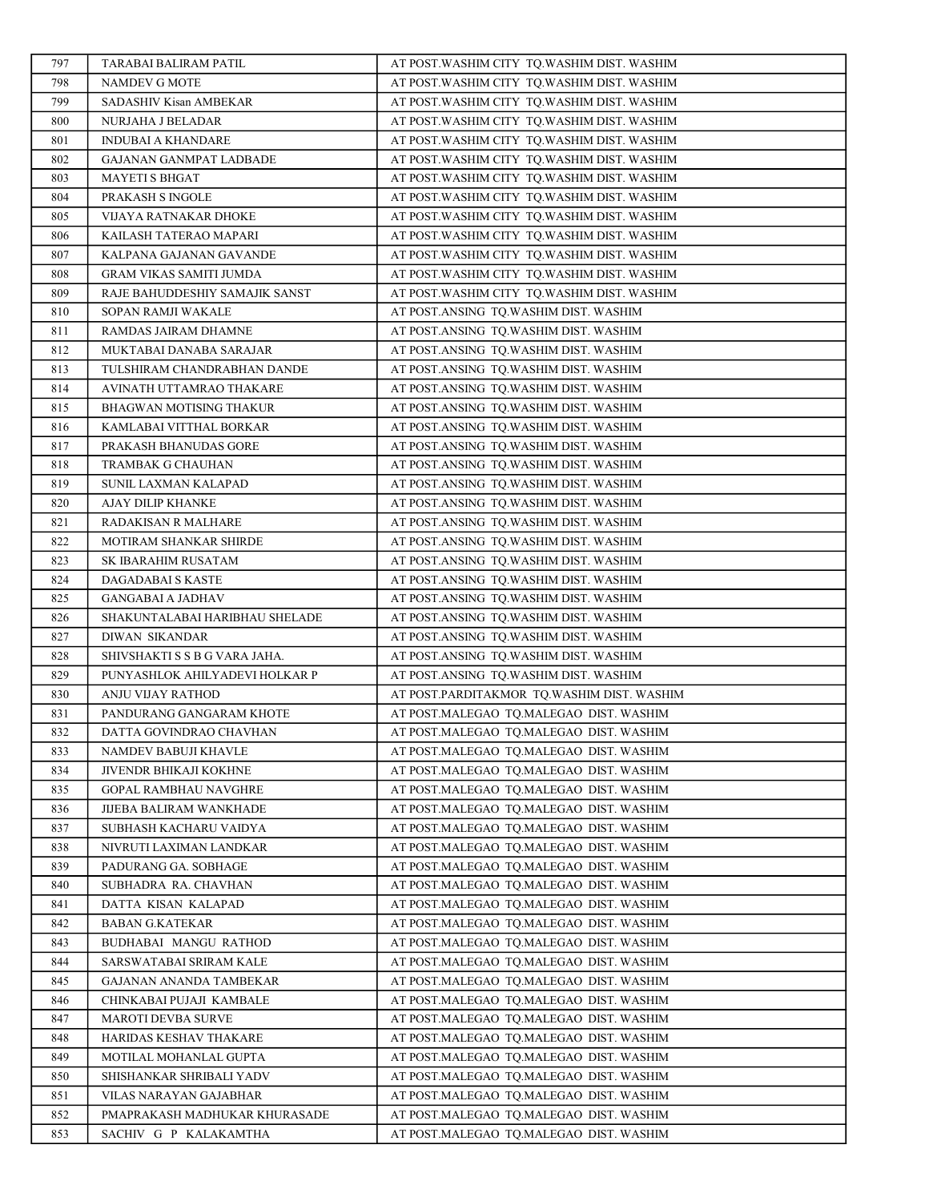| 797        | TARABAI BALIRAM PATIL                         | AT POST.WASHIM CITY TQ.WASHIM DIST. WASHIM                                         |
|------------|-----------------------------------------------|------------------------------------------------------------------------------------|
| 798        | NAMDEV G MOTE                                 | AT POST.WASHIM CITY TQ.WASHIM DIST. WASHIM                                         |
| 799        | SADASHIV Kisan AMBEKAR                        | AT POST. WASHIM CITY TQ. WASHIM DIST. WASHIM                                       |
| 800        | NURJAHA J BELADAR                             | AT POST.WASHIM CITY TQ.WASHIM DIST. WASHIM                                         |
| 801        | <b>INDUBAI A KHANDARE</b>                     | AT POST. WASHIM CITY TQ. WASHIM DIST. WASHIM                                       |
| 802        | GAJANAN GANMPAT LADBADE                       | AT POST.WASHIM CITY TQ.WASHIM DIST. WASHIM                                         |
| 803        | <b>MAYETI S BHGAT</b>                         | AT POST.WASHIM CITY TQ.WASHIM DIST. WASHIM                                         |
| 804        | PRAKASH S INGOLE                              | AT POST.WASHIM CITY TQ.WASHIM DIST. WASHIM                                         |
| 805        | VIJAYA RATNAKAR DHOKE                         | AT POST.WASHIM CITY TQ.WASHIM DIST. WASHIM                                         |
| 806        | KAILASH TATERAO MAPARI                        | AT POST.WASHIM CITY TQ.WASHIM DIST. WASHIM                                         |
| 807        | KALPANA GAJANAN GAVANDE                       | AT POST.WASHIM CITY TQ.WASHIM DIST. WASHIM                                         |
| 808        | GRAM VIKAS SAMITI JUMDA                       | AT POST.WASHIM CITY TQ.WASHIM DIST. WASHIM                                         |
| 809        | RAJE BAHUDDESHIY SAMAJIK SANST                | AT POST.WASHIM CITY TQ.WASHIM DIST. WASHIM                                         |
| 810        | SOPAN RAMJI WAKALE                            | AT POST.ANSING TQ.WASHIM DIST. WASHIM                                              |
| 811        | RAMDAS JAIRAM DHAMNE                          | AT POST.ANSING TQ.WASHIM DIST. WASHIM                                              |
| 812        | MUKTABAI DANABA SARAJAR                       | AT POST.ANSING TQ.WASHIM DIST. WASHIM                                              |
| 813        | TULSHIRAM CHANDRABHAN DANDE                   | AT POST.ANSING TQ.WASHIM DIST. WASHIM                                              |
| 814        | AVINATH UTTAMRAO THAKARE                      | AT POST.ANSING TQ.WASHIM DIST. WASHIM                                              |
| 815        | BHAGWAN MOTISING THAKUR                       | AT POST.ANSING TO.WASHIM DIST. WASHIM                                              |
| 816        | KAMLABAI VITTHAL BORKAR                       | AT POST.ANSING TQ.WASHIM DIST. WASHIM                                              |
| 817        | PRAKASH BHANUDAS GORE                         | AT POST.ANSING TQ.WASHIM DIST. WASHIM                                              |
| 818        | TRAMBAK G CHAUHAN                             | AT POST.ANSING TQ.WASHIM DIST. WASHIM                                              |
| 819        | SUNIL LAXMAN KALAPAD                          | AT POST.ANSING TO.WASHIM DIST. WASHIM                                              |
| 820        | AJAY DILIP KHANKE                             | AT POST.ANSING TQ.WASHIM DIST. WASHIM                                              |
| 821        | RADAKISAN R MALHARE                           | AT POST.ANSING TQ.WASHIM DIST. WASHIM                                              |
| 822        | MOTIRAM SHANKAR SHIRDE                        | AT POST.ANSING TQ.WASHIM DIST. WASHIM                                              |
| 823        | SK IBARAHIM RUSATAM                           | AT POST.ANSING TQ.WASHIM DIST. WASHIM                                              |
| 824        | DAGADABAI S KASTE                             | AT POST.ANSING TQ.WASHIM DIST. WASHIM                                              |
| 825        | <b>GANGABAI A JADHAV</b>                      | AT POST.ANSING TQ.WASHIM DIST. WASHIM                                              |
| 826        | SHAKUNTALABAI HARIBHAU SHELADE                | AT POST.ANSING TQ.WASHIM DIST. WASHIM                                              |
| 827        | DIWAN SIKANDAR                                | AT POST.ANSING TQ.WASHIM DIST. WASHIM                                              |
| 828        | SHIVSHAKTI S S B G VARA JAHA.                 | AT POST.ANSING TQ.WASHIM DIST. WASHIM                                              |
| 829        | PUNYASHLOK AHILYADEVI HOLKAR P                | AT POST.ANSING TQ.WASHIM DIST. WASHIM                                              |
| 830        | ANJU VIJAY RATHOD                             | AT POST.PARDITAKMOR TQ.WASHIM DIST. WASHIM                                         |
| 831        | PANDURANG GANGARAM KHOTE                      | AT POST.MALEGAO TQ.MALEGAO DIST. WASHIM                                            |
| 832        | DATTA GOVINDRAO CHAVHAN                       | AT POST.MALEGAO TQ.MALEGAO DIST. WASHIM                                            |
| 833        | NAMDEV BABUJI KHAVLE                          | AT POST.MALEGAO TQ.MALEGAO DIST. WASHIM                                            |
| 834        | JIVENDR BHIKAJI KOKHNE                        | AT POST.MALEGAO TQ.MALEGAO DIST. WASHIM                                            |
| 835        | GOPAL RAMBHAU NAVGHRE                         | AT POST.MALEGAO TQ.MALEGAO DIST. WASHIM                                            |
| 836        | JIJEBA BALIRAM WANKHADE                       | AT POST.MALEGAO TQ.MALEGAO DIST. WASHIM                                            |
| 837        | SUBHASH KACHARU VAIDYA                        | AT POST.MALEGAO TQ.MALEGAO DIST. WASHIM                                            |
| 838        | NIVRUTI LAXIMAN LANDKAR                       | AT POST.MALEGAO TQ.MALEGAO DIST. WASHIM                                            |
| 839<br>840 | PADURANG GA. SOBHAGE<br>SUBHADRA RA. CHAVHAN  | AT POST.MALEGAO TO.MALEGAO DIST. WASHIM<br>AT POST.MALEGAO TQ.MALEGAO DIST. WASHIM |
|            |                                               |                                                                                    |
| 841<br>842 | DATTA KISAN KALAPAD<br><b>BABAN G.KATEKAR</b> | AT POST.MALEGAO TQ.MALEGAO DIST. WASHIM<br>AT POST.MALEGAO TQ.MALEGAO DIST. WASHIM |
| 843        | BUDHABAI MANGU RATHOD                         | AT POST.MALEGAO TQ.MALEGAO DIST. WASHIM                                            |
| 844        | SARSWATABAI SRIRAM KALE                       | AT POST.MALEGAO TQ.MALEGAO DIST. WASHIM                                            |
| 845        | GAJANAN ANANDA TAMBEKAR                       | AT POST.MALEGAO TQ.MALEGAO DIST. WASHIM                                            |
| 846        | CHINKABAI PUJAJI KAMBALE                      | AT POST.MALEGAO TQ.MALEGAO DIST. WASHIM                                            |
| 847        | MAROTI DEVBA SURVE                            | AT POST.MALEGAO TQ.MALEGAO DIST. WASHIM                                            |
| 848        | HARIDAS KESHAV THAKARE                        | AT POST.MALEGAO TQ.MALEGAO DIST. WASHIM                                            |
| 849        | MOTILAL MOHANLAL GUPTA                        | AT POST.MALEGAO TQ.MALEGAO DIST. WASHIM                                            |
| 850        | SHISHANKAR SHRIBALI YADV                      | AT POST.MALEGAO TQ.MALEGAO DIST. WASHIM                                            |
| 851        | VILAS NARAYAN GAJABHAR                        | AT POST.MALEGAO TQ.MALEGAO DIST. WASHIM                                            |
| 852        | PMAPRAKASH MADHUKAR KHURASADE                 | AT POST.MALEGAO TQ.MALEGAO DIST. WASHIM                                            |
| 853        | SACHIV G P KALAKAMTHA                         | AT POST.MALEGAO TQ.MALEGAO DIST. WASHIM                                            |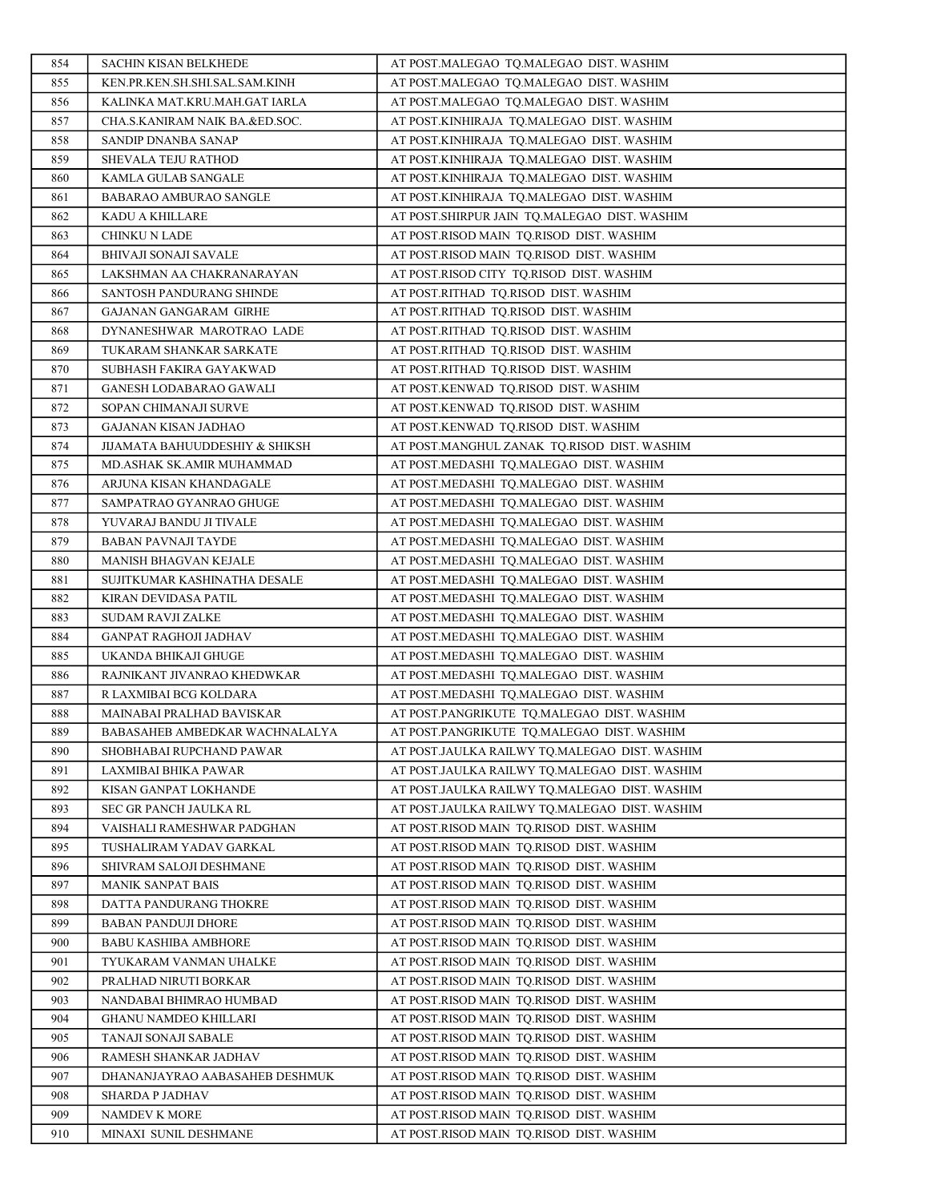| 854        | <b>SACHIN KISAN BELKHEDE</b>                 | AT POST.MALEGAO TQ.MALEGAO DIST. WASHIM                                              |
|------------|----------------------------------------------|--------------------------------------------------------------------------------------|
| 855        | KEN.PR.KEN.SH.SHI.SAL.SAM.KINH               | AT POST.MALEGAO TO.MALEGAO DIST. WASHIM                                              |
| 856        | KALINKA MAT.KRU.MAH.GAT IARLA                | AT POST.MALEGAO TQ.MALEGAO DIST. WASHIM                                              |
| 857        | CHA.S.KANIRAM NAIK BA.&ED.SOC.               | AT POST.KINHIRAJA TQ.MALEGAO DIST. WASHIM                                            |
| 858        | SANDIP DNANBA SANAP                          | AT POST.KINHIRAJA TO.MALEGAO DIST. WASHIM                                            |
| 859        | SHEVALA TEJU RATHOD                          | AT POST.KINHIRAJA TQ.MALEGAO DIST. WASHIM                                            |
| 860        | KAMLA GULAB SANGALE                          | AT POST.KINHIRAJA TQ.MALEGAO DIST. WASHIM                                            |
| 861        | BABARAO AMBURAO SANGLE                       | AT POST.KINHIRAJA TQ.MALEGAO DIST. WASHIM                                            |
| 862        | KADU A KHILLARE                              | AT POST.SHIRPUR JAIN TQ.MALEGAO DIST. WASHIM                                         |
| 863        | CHINKU N LADE                                | AT POST.RISOD MAIN TQ.RISOD DIST. WASHIM                                             |
| 864        | <b>BHIVAJI SONAJI SAVALE</b>                 | AT POST.RISOD MAIN TQ.RISOD DIST. WASHIM                                             |
| 865        | LAKSHMAN AA CHAKRANARAYAN                    | AT POST.RISOD CITY TQ.RISOD DIST. WASHIM                                             |
| 866        | SANTOSH PANDURANG SHINDE                     | AT POST.RITHAD TQ.RISOD DIST. WASHIM                                                 |
| 867        | GAJANAN GANGARAM GIRHE                       | AT POST.RITHAD TQ.RISOD DIST. WASHIM                                                 |
| 868        | DYNANESHWAR MAROTRAO LADE                    | AT POST.RITHAD TQ.RISOD DIST. WASHIM                                                 |
| 869        | TUKARAM SHANKAR SARKATE                      | AT POST.RITHAD TQ.RISOD DIST. WASHIM                                                 |
| 870        | SUBHASH FAKIRA GAYAKWAD                      | AT POST.RITHAD TO.RISOD DIST. WASHIM                                                 |
| 871        | <b>GANESH LODABARAO GAWALI</b>               | AT POST.KENWAD TQ.RISOD DIST. WASHIM                                                 |
| 872        | SOPAN CHIMANAJI SURVE                        | AT POST.KENWAD TQ.RISOD DIST. WASHIM                                                 |
| 873        | GAJANAN KISAN JADHAO                         | AT POST.KENWAD TO.RISOD DIST. WASHIM                                                 |
| 874        | JIJAMATA BAHUUDDESHIY & SHIKSH               | AT POST.MANGHUL ZANAK TQ.RISOD DIST. WASHIM                                          |
| 875        | MD.ASHAK SK.AMIR MUHAMMAD                    | AT POST.MEDASHI TQ.MALEGAO DIST. WASHIM                                              |
| 876        | ARJUNA KISAN KHANDAGALE                      | AT POST.MEDASHI TO.MALEGAO DIST. WASHIM                                              |
| 877        | SAMPATRAO GYANRAO GHUGE                      | AT POST.MEDASHI TQ.MALEGAO DIST. WASHIM                                              |
| 878        | YUVARAJ BANDU JI TIVALE                      | AT POST.MEDASHI TQ.MALEGAO DIST. WASHIM                                              |
| 879        | <b>BABAN PAVNAJI TAYDE</b>                   | AT POST.MEDASHI TQ.MALEGAO DIST. WASHIM                                              |
| 880        | MANISH BHAGVAN KEJALE                        | AT POST.MEDASHI TQ.MALEGAO DIST. WASHIM                                              |
| 881        | SUJITKUMAR KASHINATHA DESALE                 | AT POST.MEDASHI TQ.MALEGAO DIST. WASHIM                                              |
| 882        | KIRAN DEVIDASA PATIL                         | AT POST.MEDASHI TQ.MALEGAO DIST. WASHIM                                              |
| 883        | <b>SUDAM RAVJI ZALKE</b>                     | AT POST.MEDASHI TQ.MALEGAO DIST. WASHIM                                              |
| 884        | GANPAT RAGHOJI JADHAV                        | AT POST.MEDASHI TQ.MALEGAO DIST. WASHIM                                              |
| 885        | UKANDA BHIKAJI GHUGE                         | AT POST.MEDASHI TQ.MALEGAO DIST. WASHIM                                              |
| 886        | RAJNIKANT JIVANRAO KHEDWKAR                  | AT POST.MEDASHI TQ.MALEGAO DIST. WASHIM                                              |
| 887        | R LAXMIBAI BCG KOLDARA                       | AT POST.MEDASHI TO.MALEGAO DIST. WASHIM                                              |
| 888        | MAINABAI PRALHAD BAVISKAR                    | AT POST.PANGRIKUTE TQ.MALEGAO DIST. WASHIM                                           |
| 889        | BABASAHEB AMBEDKAR WACHNALALYA               | AT POST.PANGRIKUTE TQ.MALEGAO DIST. WASHIM                                           |
| 890        | SHOBHABAI RUPCHAND PAWAR                     | AT POST.JAULKA RAILWY TQ.MALEGAO DIST. WASHIM                                        |
| 891        | LAXMIBAI BHIKA PAWAR                         | AT POST.JAULKA RAILWY TQ.MALEGAO DIST. WASHIM                                        |
| 892        | KISAN GANPAT LOKHANDE                        | AT POST.JAULKA RAILWY TQ.MALEGAO DIST. WASHIM                                        |
| 893        | SEC GR PANCH JAULKA RL                       | AT POST.JAULKA RAILWY TO.MALEGAO DIST. WASHIM                                        |
| 894        | VAISHALI RAMESHWAR PADGHAN                   | AT POST.RISOD MAIN TQ.RISOD DIST. WASHIM                                             |
| 895<br>896 | TUSHALIRAM YADAV GARKAL                      | AT POST.RISOD MAIN TQ.RISOD DIST. WASHIM<br>AT POST.RISOD MAIN TO.RISOD DIST. WASHIM |
| 897        | SHIVRAM SALOJI DESHMANE<br>MANIK SANPAT BAIS | AT POST.RISOD MAIN TQ.RISOD DIST. WASHIM                                             |
| 898        | DATTA PANDURANG THOKRE                       | AT POST.RISOD MAIN TQ.RISOD DIST. WASHIM                                             |
| 899        | <b>BABAN PANDUJI DHORE</b>                   | AT POST.RISOD MAIN TO.RISOD DIST. WASHIM                                             |
| 900        | <b>BABU KASHIBA AMBHORE</b>                  | AT POST.RISOD MAIN TQ.RISOD DIST. WASHIM                                             |
| 901        | TYUKARAM VANMAN UHALKE                       | AT POST.RISOD MAIN TQ.RISOD DIST. WASHIM                                             |
| 902        | PRALHAD NIRUTI BORKAR                        | AT POST.RISOD MAIN TQ.RISOD DIST. WASHIM                                             |
| 903        | NANDABAI BHIMRAO HUMBAD                      | AT POST.RISOD MAIN TQ.RISOD DIST. WASHIM                                             |
| 904        | GHANU NAMDEO KHILLARI                        | AT POST.RISOD MAIN TQ.RISOD DIST. WASHIM                                             |
| 905        | TANAJI SONAJI SABALE                         | AT POST.RISOD MAIN TQ.RISOD DIST. WASHIM                                             |
| 906        | RAMESH SHANKAR JADHAV                        | AT POST.RISOD MAIN TQ.RISOD DIST. WASHIM                                             |
| 907        | DHANANJAYRAO AABASAHEB DESHMUK               | AT POST.RISOD MAIN TQ.RISOD DIST. WASHIM                                             |
| 908        | SHARDA P JADHAV                              | AT POST.RISOD MAIN TQ.RISOD DIST. WASHIM                                             |
| 909        | NAMDEV K MORE                                | AT POST.RISOD MAIN TQ.RISOD DIST. WASHIM                                             |
| 910        | MINAXI SUNIL DESHMANE                        | AT POST.RISOD MAIN TQ.RISOD DIST. WASHIM                                             |